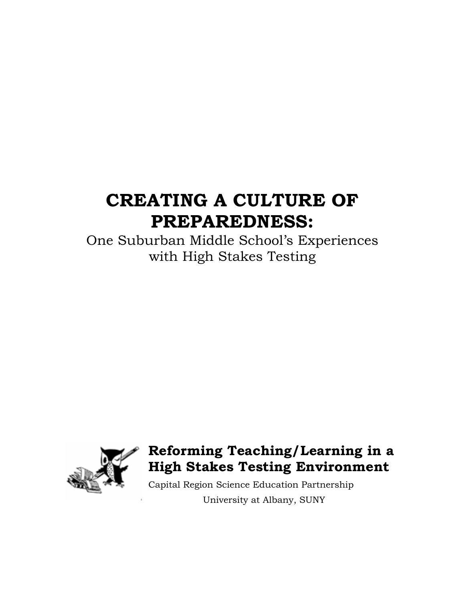# **CREATING A CULTURE OF PREPAREDNESS:**

One Suburban Middle School's Experiences with High Stakes Testing



# **Reforming Teaching/Learning in a High Stakes Testing Environment**

Capital Region Science Education Partnership University at Albany, SUNY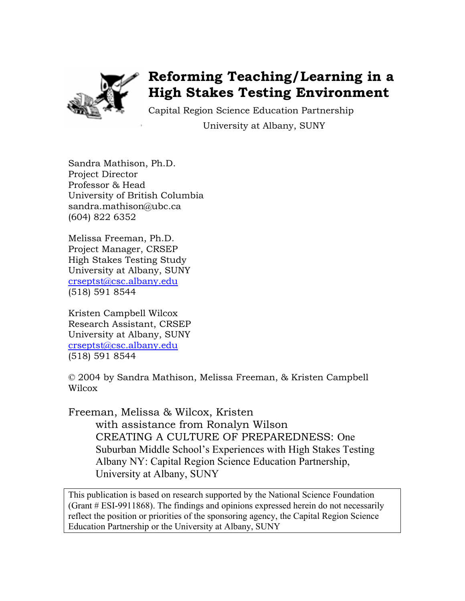

# **Reforming Teaching/Learning in a High Stakes Testing Environment**

Capital Region Science Education Partnership University at Albany, SUNY

Sandra Mathison, Ph.D. Project Director Professor & Head University of British Columbia sandra.mathison@ubc.ca (604) 822 6352

Melissa Freeman, Ph.D. Project Manager, CRSEP High Stakes Testing Study University at Albany, SUNY crseptst@csc.albany.edu (518) 591 8544

Kristen Campbell Wilcox Research Assistant, CRSEP University at Albany, SUNY crseptst@csc.albany.edu (518) 591 8544

© 2004 by Sandra Mathison, Melissa Freeman, & Kristen Campbell Wilcox

Freeman, Melissa & Wilcox, Kristen with assistance from Ronalyn Wilson CREATING A CULTURE OF PREPAREDNESS: One Suburban Middle School's Experiences with High Stakes Testing Albany NY: Capital Region Science Education Partnership, University at Albany, SUNY

This publication is based on research supported by the National Science Foundation (Grant # ESI-9911868). The findings and opinions expressed herein do not necessarily reflect the position or priorities of the sponsoring agency, the Capital Region Science Education Partnership or the University at Albany, SUNY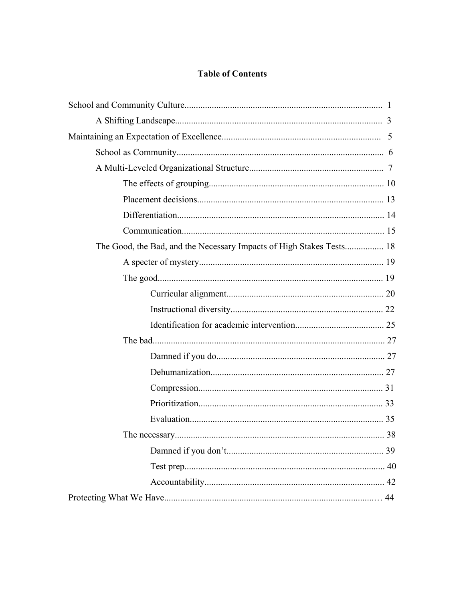### **Table of Contents**

| The Good, the Bad, and the Necessary Impacts of High Stakes Tests 18 |    |  |  |  |
|----------------------------------------------------------------------|----|--|--|--|
|                                                                      |    |  |  |  |
|                                                                      |    |  |  |  |
|                                                                      |    |  |  |  |
|                                                                      |    |  |  |  |
|                                                                      |    |  |  |  |
|                                                                      |    |  |  |  |
|                                                                      |    |  |  |  |
|                                                                      |    |  |  |  |
|                                                                      |    |  |  |  |
|                                                                      |    |  |  |  |
|                                                                      |    |  |  |  |
|                                                                      |    |  |  |  |
|                                                                      | 39 |  |  |  |
|                                                                      |    |  |  |  |
|                                                                      |    |  |  |  |
|                                                                      | 44 |  |  |  |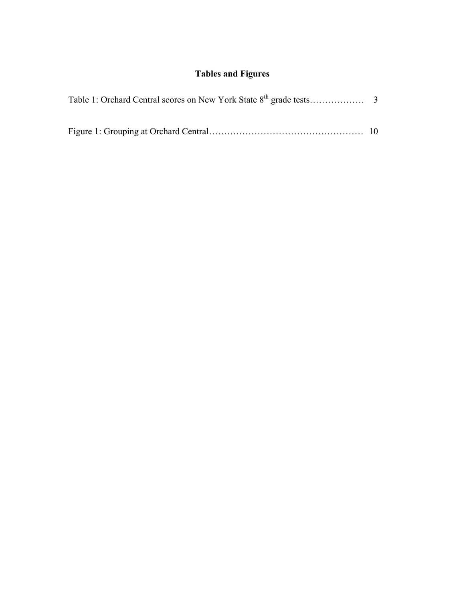### **Tables and Figures**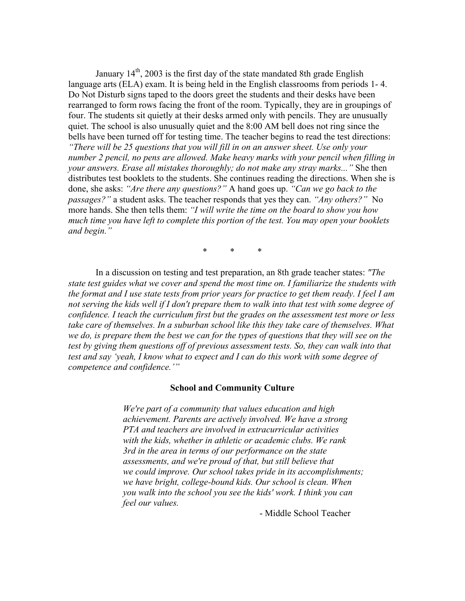January  $14<sup>th</sup>$ , 2003 is the first day of the state mandated 8th grade English language arts (ELA) exam. It is being held in the English classrooms from periods 1- 4. Do Not Disturb signs taped to the doors greet the students and their desks have been rearranged to form rows facing the front of the room. Typically, they are in groupings of four. The students sit quietly at their desks armed only with pencils. They are unusually quiet. The school is also unusually quiet and the 8:00 AM bell does not ring since the bells have been turned off for testing time. The teacher begins to read the test directions: *"There will be 25 questions that you will fill in on an answer sheet. Use only your number 2 pencil, no pens are allowed. Make heavy marks with your pencil when filling in your answers. Erase all mistakes thoroughly; do not make any stray marks..."* She then distributes test booklets to the students. She continues reading the directions. When she is done, she asks: *"Are there any questions?"* A hand goes up. *"Can we go back to the passages?"* a student asks. The teacher responds that yes they can. *"Any others?"* No more hands. She then tells them: *"I will write the time on the board to show you how much time you have left to complete this portion of the test. You may open your booklets and begin."* 

\* \* \*

 In a discussion on testing and test preparation, an 8th grade teacher states: *"The state test guides what we cover and spend the most time on. I familiarize the students with the format and I use state tests from prior years for practice to get them ready. I feel I am not serving the kids well if I don't prepare them to walk into that test with some degree of confidence. I teach the curriculum first but the grades on the assessment test more or less take care of themselves. In a suburban school like this they take care of themselves. What we do, is prepare them the best we can for the types of questions that they will see on the test by giving them questions off of previous assessment tests. So, they can walk into that test and say 'yeah, I know what to expect and I can do this work with some degree of competence and confidence.'"* 

#### **School and Community Culture**

 *We're part of a community that values education and high achievement. Parents are actively involved. We have a strong PTA and teachers are involved in extracurricular activities with the kids, whether in athletic or academic clubs. We rank 3rd in the area in terms of our performance on the state assessments, and we're proud of that, but still believe that we could improve. Our school takes pride in its accomplishments; we have bright, college-bound kids. Our school is clean. When you walk into the school you see the kids' work. I think you can feel our values.* 

- Middle School Teacher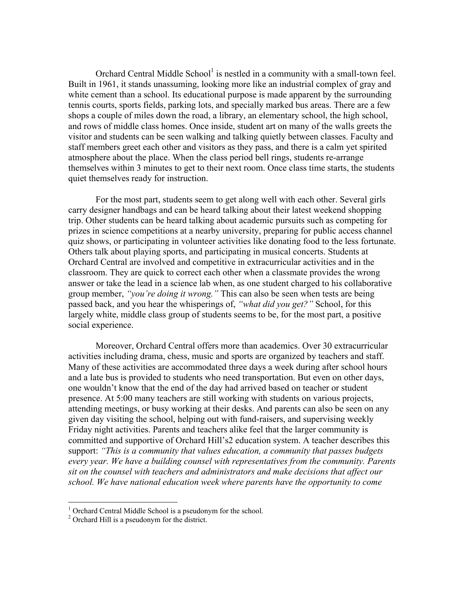Orchard Central Middle School<sup>1</sup> is nestled in a community with a small-town feel. Built in 1961, it stands unassuming, looking more like an industrial complex of gray and white cement than a school. Its educational purpose is made apparent by the surrounding tennis courts, sports fields, parking lots, and specially marked bus areas. There are a few shops a couple of miles down the road, a library, an elementary school, the high school, and rows of middle class homes. Once inside, student art on many of the walls greets the visitor and students can be seen walking and talking quietly between classes. Faculty and staff members greet each other and visitors as they pass, and there is a calm yet spirited atmosphere about the place. When the class period bell rings, students re-arrange themselves within 3 minutes to get to their next room. Once class time starts, the students quiet themselves ready for instruction.

 For the most part, students seem to get along well with each other. Several girls carry designer handbags and can be heard talking about their latest weekend shopping trip. Other students can be heard talking about academic pursuits such as competing for prizes in science competitions at a nearby university, preparing for public access channel quiz shows, or participating in volunteer activities like donating food to the less fortunate. Others talk about playing sports, and participating in musical concerts. Students at Orchard Central are involved and competitive in extracurricular activities and in the classroom. They are quick to correct each other when a classmate provides the wrong answer or take the lead in a science lab when, as one student charged to his collaborative group member, *"you're doing it wrong."* This can also be seen when tests are being passed back, and you hear the whisperings of, *"what did you get?"* School, for this largely white, middle class group of students seems to be, for the most part, a positive social experience.

 Moreover, Orchard Central offers more than academics. Over 30 extracurricular activities including drama, chess, music and sports are organized by teachers and staff. Many of these activities are accommodated three days a week during after school hours and a late bus is provided to students who need transportation. But even on other days, one wouldn't know that the end of the day had arrived based on teacher or student presence. At 5:00 many teachers are still working with students on various projects, attending meetings, or busy working at their desks. And parents can also be seen on any given day visiting the school, helping out with fund-raisers, and supervising weekly Friday night activities. Parents and teachers alike feel that the larger community is committed and supportive of Orchard Hill's2 education system. A teacher describes this support: *"This is a community that values education, a community that passes budgets every year. We have a building counsel with representatives from the community. Parents sit on the counsel with teachers and administrators and make decisions that affect our school. We have national education week where parents have the opportunity to come* 

 $\overline{a}$ 

<sup>&</sup>lt;sup>1</sup> Orchard Central Middle School is a pseudonym for the school.

<sup>&</sup>lt;sup>2</sup> Orchard Hill is a pseudonym for the district.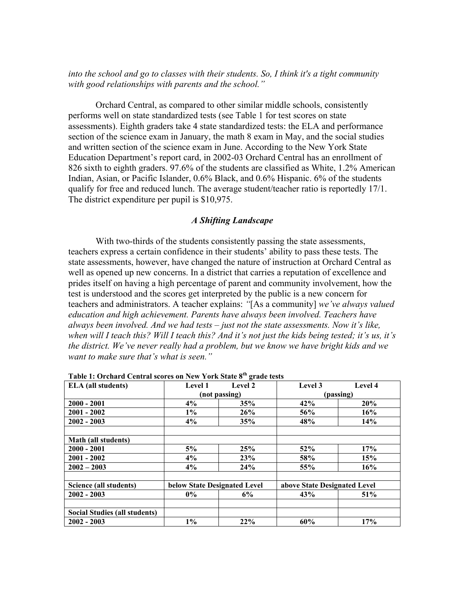*into the school and go to classes with their students. So, I think it's a tight community with good relationships with parents and the school."* 

Orchard Central, as compared to other similar middle schools, consistently performs well on state standardized tests (see Table 1 for test scores on state assessments). Eighth graders take 4 state standardized tests: the ELA and performance section of the science exam in January, the math 8 exam in May, and the social studies and written section of the science exam in June. According to the New York State Education Department's report card, in 2002-03 Orchard Central has an enrollment of 826 sixth to eighth graders. 97.6% of the students are classified as White, 1.2% American Indian, Asian, or Pacific Islander, 0.6% Black, and 0.6% Hispanic. 6% of the students qualify for free and reduced lunch. The average student/teacher ratio is reportedly 17/1. The district expenditure per pupil is \$10,975.

#### *A Shifting Landscape*

With two-thirds of the students consistently passing the state assessments, teachers express a certain confidence in their students' ability to pass these tests. The state assessments, however, have changed the nature of instruction at Orchard Central as well as opened up new concerns. In a district that carries a reputation of excellence and prides itself on having a high percentage of parent and community involvement, how the test is understood and the scores get interpreted by the public is a new concern for teachers and administrators. A teacher explains: *"*[As a community] *we've always valued education and high achievement. Parents have always been involved. Teachers have always been involved. And we had tests – just not the state assessments. Now it's like, when will I teach this? Will I teach this? And it's not just the kids being tested; it's us, it's the district. We've never really had a problem, but we know we have bright kids and we want to make sure that's what is seen."* 

| <b>ELA</b> (all students)     | Level 1                      | Level 2 | Level 3                      | Level 4 |
|-------------------------------|------------------------------|---------|------------------------------|---------|
|                               | (not passing)                |         | (passing)                    |         |
| $2000 - 2001$                 | 4%                           | 35%     | 42%                          | 20%     |
| $2001 - 2002$                 | $1\%$                        | 26%     | 56%                          | 16%     |
| $2002 - 2003$                 | 4%                           | 35%     | 48%                          | 14%     |
|                               |                              |         |                              |         |
| Math (all students)           |                              |         |                              |         |
| $2000 - 2001$                 | 5%                           | 25%     | 52%                          | 17%     |
| $2001 - 2002$                 | 4%                           | 23%     | 58%                          | 15%     |
| $2002 - 2003$                 | 4%                           | 24%     | 55%                          | 16%     |
|                               |                              |         |                              |         |
| Science (all students)        | below State Designated Level |         | above State Designated Level |         |
| $2002 - 2003$                 | $0\%$                        | 6%      | 43%                          | 51%     |
|                               |                              |         |                              |         |
| Social Studies (all students) |                              |         |                              |         |
| $2002 - 2003$                 | $1\%$                        | 22%     | 60%                          | 17%     |

**Table 1: Orchard Central scores on New York State 8th grade tests**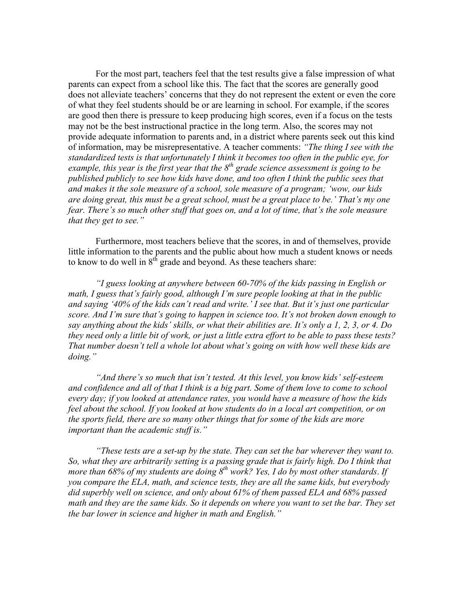For the most part, teachers feel that the test results give a false impression of what parents can expect from a school like this. The fact that the scores are generally good does not alleviate teachers' concerns that they do not represent the extent or even the core of what they feel students should be or are learning in school. For example, if the scores are good then there is pressure to keep producing high scores, even if a focus on the tests may not be the best instructional practice in the long term. Also, the scores may not provide adequate information to parents and, in a district where parents seek out this kind of information, may be misrepresentative. A teacher comments: *"The thing I see with the standardized tests is that unfortunately I think it becomes too often in the public eye, for example, this year is the first year that the 8th grade science assessment is going to be published publicly to see how kids have done, and too often I think the public sees that and makes it the sole measure of a school, sole measure of a program; 'wow, our kids are doing great, this must be a great school, must be a great place to be.' That's my one fear. There's so much other stuff that goes on, and a lot of time, that's the sole measure that they get to see."*

Furthermore, most teachers believe that the scores, in and of themselves, provide little information to the parents and the public about how much a student knows or needs to know to do well in  $8<sup>th</sup>$  grade and beyond. As these teachers share:

*"I guess looking at anywhere between 60-70% of the kids passing in English or math, I guess that's fairly good, although I'm sure people looking at that in the public and saying '40% of the kids can't read and write.' I see that. But it's just one particular score. And I'm sure that's going to happen in science too. It's not broken down enough to say anything about the kids' skills, or what their abilities are. It's only a 1, 2, 3, or 4. Do they need only a little bit of work, or just a little extra effort to be able to pass these tests? That number doesn't tell a whole lot about what's going on with how well these kids are doing."* 

*"And there's so much that isn't tested. At this level, you know kids' self-esteem and confidence and all of that I think is a big part. Some of them love to come to school every day; if you looked at attendance rates, you would have a measure of how the kids feel about the school. If you looked at how students do in a local art competition, or on the sports field, there are so many other things that for some of the kids are more important than the academic stuff is."* 

*"These tests are a set-up by the state. They can set the bar wherever they want to. So, what they are arbitrarily setting is a passing grade that is fairly high. Do I think that more than 68% of my students are doing 8th work? Yes, I do by most other standards*. *If you compare the ELA, math, and science tests, they are all the same kids, but everybody did superbly well on science, and only about 61% of them passed ELA and 68% passed*  math and they are the same kids. So it depends on where you want to set the bar. They set *the bar lower in science and higher in math and English."*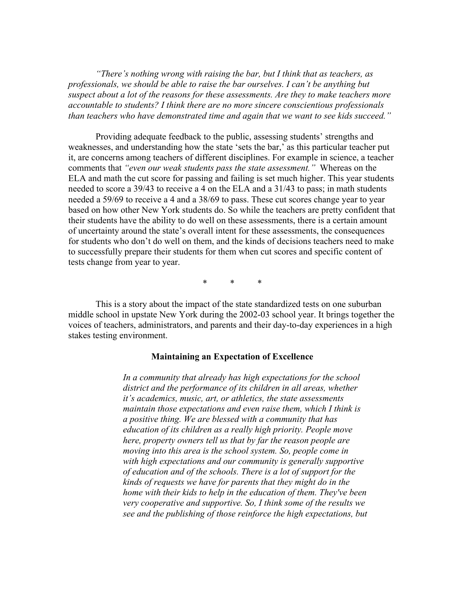*"There's nothing wrong with raising the bar, but I think that as teachers, as professionals, we should be able to raise the bar ourselves. I can't be anything but suspect about a lot of the reasons for these assessments. Are they to make teachers more accountable to students? I think there are no more sincere conscientious professionals than teachers who have demonstrated time and again that we want to see kids succeed."* 

Providing adequate feedback to the public, assessing students' strengths and weaknesses, and understanding how the state 'sets the bar,' as this particular teacher put it, are concerns among teachers of different disciplines. For example in science, a teacher comments that *"even our weak students pass the state assessment."* Whereas on the ELA and math the cut score for passing and failing is set much higher. This year students needed to score a 39/43 to receive a 4 on the ELA and a 31/43 to pass; in math students needed a 59/69 to receive a 4 and a 38/69 to pass. These cut scores change year to year based on how other New York students do. So while the teachers are pretty confident that their students have the ability to do well on these assessments, there is a certain amount of uncertainty around the state's overall intent for these assessments, the consequences for students who don't do well on them, and the kinds of decisions teachers need to make to successfully prepare their students for them when cut scores and specific content of tests change from year to year.

\* \* \*

This is a story about the impact of the state standardized tests on one suburban middle school in upstate New York during the 2002-03 school year. It brings together the voices of teachers, administrators, and parents and their day-to-day experiences in a high stakes testing environment.

#### **Maintaining an Expectation of Excellence**

 *In a community that already has high expectations for the school district and the performance of its children in all areas, whether it's academics, music, art, or athletics, the state assessments maintain those expectations and even raise them, which I think is a positive thing. We are blessed with a community that has education of its children as a really high priority. People move here, property owners tell us that by far the reason people are moving into this area is the school system. So, people come in with high expectations and our community is generally supportive of education and of the schools. There is a lot of support for the kinds of requests we have for parents that they might do in the home with their kids to help in the education of them. They've been very cooperative and supportive. So, I think some of the results we see and the publishing of those reinforce the high expectations, but*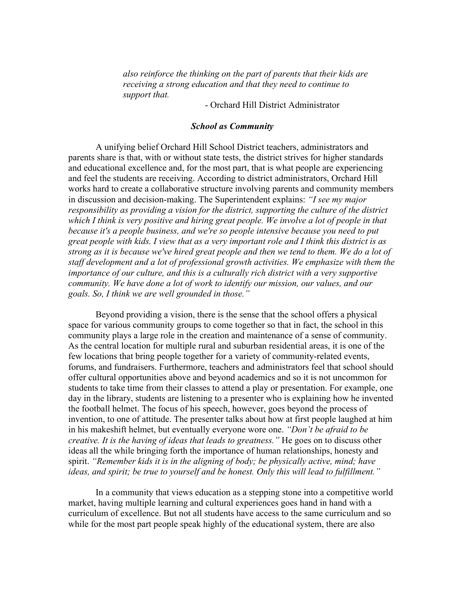*also reinforce the thinking on the part of parents that their kids are receiving a strong education and that they need to continue to support that.* 

- Orchard Hill District Administrator

#### *School as Community*

 A unifying belief Orchard Hill School District teachers, administrators and parents share is that, with or without state tests, the district strives for higher standards and educational excellence and, for the most part, that is what people are experiencing and feel the students are receiving. According to district administrators, Orchard Hill works hard to create a collaborative structure involving parents and community members in discussion and decision-making. The Superintendent explains: *"I see my major responsibility as providing a vision for the district, supporting the culture of the district which I think is very positive and hiring great people. We involve a lot of people in that because it's a people business, and we're so people intensive because you need to put great people with kids. I view that as a very important role and I think this district is as strong as it is because we've hired great people and then we tend to them. We do a lot of staff development and a lot of professional growth activities. We emphasize with them the importance of our culture, and this is a culturally rich district with a very supportive community. We have done a lot of work to identify our mission, our values, and our goals. So, I think we are well grounded in those."* 

 Beyond providing a vision, there is the sense that the school offers a physical space for various community groups to come together so that in fact, the school in this community plays a large role in the creation and maintenance of a sense of community. As the central location for multiple rural and suburban residential areas, it is one of the few locations that bring people together for a variety of community-related events, forums, and fundraisers. Furthermore, teachers and administrators feel that school should offer cultural opportunities above and beyond academics and so it is not uncommon for students to take time from their classes to attend a play or presentation. For example, one day in the library, students are listening to a presenter who is explaining how he invented the football helmet. The focus of his speech, however, goes beyond the process of invention, to one of attitude. The presenter talks about how at first people laughed at him in his makeshift helmet, but eventually everyone wore one. *"Don't be afraid to be creative. It is the having of ideas that leads to greatness."* He goes on to discuss other ideas all the while bringing forth the importance of human relationships, honesty and spirit. *"Remember kids it is in the aligning of body; be physically active, mind; have ideas, and spirit; be true to yourself and be honest. Only this will lead to fulfillment."*

 In a community that views education as a stepping stone into a competitive world market, having multiple learning and cultural experiences goes hand in hand with a curriculum of excellence. But not all students have access to the same curriculum and so while for the most part people speak highly of the educational system, there are also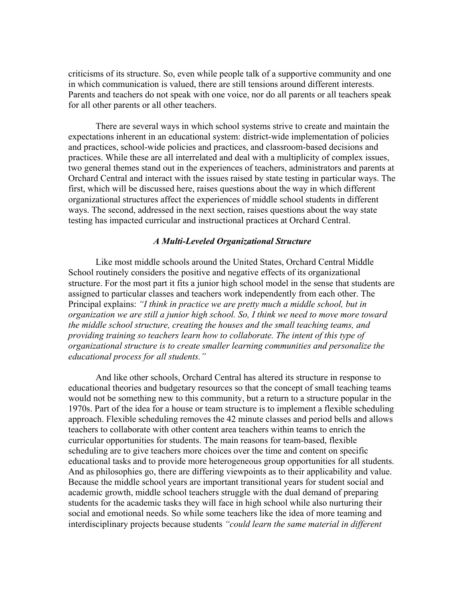criticisms of its structure. So, even while people talk of a supportive community and one in which communication is valued, there are still tensions around different interests. Parents and teachers do not speak with one voice, nor do all parents or all teachers speak for all other parents or all other teachers.

 There are several ways in which school systems strive to create and maintain the expectations inherent in an educational system: district-wide implementation of policies and practices, school-wide policies and practices, and classroom-based decisions and practices. While these are all interrelated and deal with a multiplicity of complex issues, two general themes stand out in the experiences of teachers, administrators and parents at Orchard Central and interact with the issues raised by state testing in particular ways. The first, which will be discussed here, raises questions about the way in which different organizational structures affect the experiences of middle school students in different ways. The second, addressed in the next section, raises questions about the way state testing has impacted curricular and instructional practices at Orchard Central.

#### *A Multi-Leveled Organizational Structure*

 Like most middle schools around the United States, Orchard Central Middle School routinely considers the positive and negative effects of its organizational structure. For the most part it fits a junior high school model in the sense that students are assigned to particular classes and teachers work independently from each other. The Principal explains: *"I think in practice we are pretty much a middle school, but in organization we are still a junior high school. So, I think we need to move more toward the middle school structure, creating the houses and the small teaching teams, and providing training so teachers learn how to collaborate. The intent of this type of organizational structure is to create smaller learning communities and personalize the educational process for all students."* 

 And like other schools, Orchard Central has altered its structure in response to educational theories and budgetary resources so that the concept of small teaching teams would not be something new to this community, but a return to a structure popular in the 1970s. Part of the idea for a house or team structure is to implement a flexible scheduling approach. Flexible scheduling removes the 42 minute classes and period bells and allows teachers to collaborate with other content area teachers within teams to enrich the curricular opportunities for students. The main reasons for team-based, flexible scheduling are to give teachers more choices over the time and content on specific educational tasks and to provide more heterogeneous group opportunities for all students. And as philosophies go, there are differing viewpoints as to their applicability and value. Because the middle school years are important transitional years for student social and academic growth, middle school teachers struggle with the dual demand of preparing students for the academic tasks they will face in high school while also nurturing their social and emotional needs. So while some teachers like the idea of more teaming and interdisciplinary projects because students *"could learn the same material in different*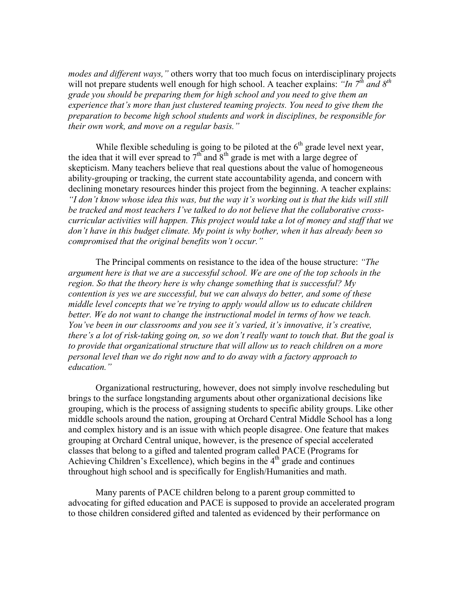*modes and different ways,"* others worry that too much focus on interdisciplinary projects will not prepare students well enough for high school. A teacher explains: *"In 7<sup>th</sup> and 8<sup>th</sup> grade you should be preparing them for high school and you need to give them an experience that's more than just clustered teaming projects. You need to give them the preparation to become high school students and work in disciplines, be responsible for their own work, and move on a regular basis."*

While flexible scheduling is going to be piloted at the  $6<sup>th</sup>$  grade level next year, the idea that it will ever spread to  $7<sup>th</sup>$  and  $8<sup>th</sup>$  grade is met with a large degree of skepticism. Many teachers believe that real questions about the value of homogeneous ability-grouping or tracking, the current state accountability agenda, and concern with declining monetary resources hinder this project from the beginning. A teacher explains: *"I don't know whose idea this was, but the way it's working out is that the kids will still be tracked and most teachers I've talked to do not believe that the collaborative crosscurricular activities will happen. This project would take a lot of money and staff that we don't have in this budget climate. My point is why bother, when it has already been so compromised that the original benefits won't occur."*

 The Principal comments on resistance to the idea of the house structure: *"The argument here is that we are a successful school. We are one of the top schools in the region. So that the theory here is why change something that is successful? My contention is yes we are successful, but we can always do better, and some of these middle level concepts that we're trying to apply would allow us to educate children better. We do not want to change the instructional model in terms of how we teach. You've been in our classrooms and you see it's varied, it's innovative, it's creative, there's a lot of risk-taking going on, so we don't really want to touch that. But the goal is to provide that organizational structure that will allow us to reach children on a more personal level than we do right now and to do away with a factory approach to education."* 

 Organizational restructuring, however, does not simply involve rescheduling but brings to the surface longstanding arguments about other organizational decisions like grouping, which is the process of assigning students to specific ability groups. Like other middle schools around the nation, grouping at Orchard Central Middle School has a long and complex history and is an issue with which people disagree. One feature that makes grouping at Orchard Central unique, however, is the presence of special accelerated classes that belong to a gifted and talented program called PACE (Programs for Achieving Children's Excellence), which begins in the  $4<sup>th</sup>$  grade and continues throughout high school and is specifically for English/Humanities and math.

 Many parents of PACE children belong to a parent group committed to advocating for gifted education and PACE is supposed to provide an accelerated program to those children considered gifted and talented as evidenced by their performance on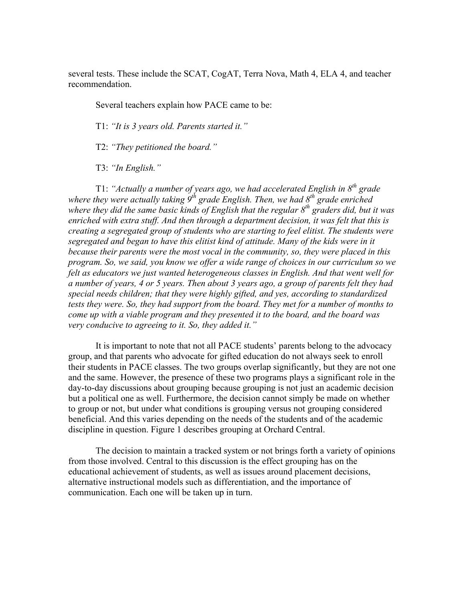several tests. These include the SCAT, CogAT, Terra Nova, Math 4, ELA 4, and teacher recommendation.

Several teachers explain how PACE came to be:

T1: *"It is 3 years old. Parents started it."* 

T2: *"They petitioned the board."* 

T3: *"In English."* 

 T1: *"Actually a number of years ago, we had accelerated English in 8th grade*  where they were actually taking 9<sup>th</sup> grade English. Then, we had 8<sup>th</sup> grade enriched *where they did the same basic kinds of English that the regular 8th graders did, but it was enriched with extra stuff. And then through a department decision, it was felt that this is creating a segregated group of students who are starting to feel elitist. The students were segregated and began to have this elitist kind of attitude. Many of the kids were in it because their parents were the most vocal in the community, so, they were placed in this program. So, we said, you know we offer a wide range of choices in our curriculum so we felt as educators we just wanted heterogeneous classes in English. And that went well for a number of years, 4 or 5 years. Then about 3 years ago, a group of parents felt they had special needs children; that they were highly gifted, and yes, according to standardized tests they were. So, they had support from the board. They met for a number of months to come up with a viable program and they presented it to the board, and the board was very conducive to agreeing to it. So, they added it."* 

 It is important to note that not all PACE students' parents belong to the advocacy group, and that parents who advocate for gifted education do not always seek to enroll their students in PACE classes. The two groups overlap significantly, but they are not one and the same. However, the presence of these two programs plays a significant role in the day-to-day discussions about grouping because grouping is not just an academic decision but a political one as well. Furthermore, the decision cannot simply be made on whether to group or not, but under what conditions is grouping versus not grouping considered beneficial. And this varies depending on the needs of the students and of the academic discipline in question. Figure 1 describes grouping at Orchard Central.

 The decision to maintain a tracked system or not brings forth a variety of opinions from those involved. Central to this discussion is the effect grouping has on the educational achievement of students, as well as issues around placement decisions, alternative instructional models such as differentiation, and the importance of communication. Each one will be taken up in turn.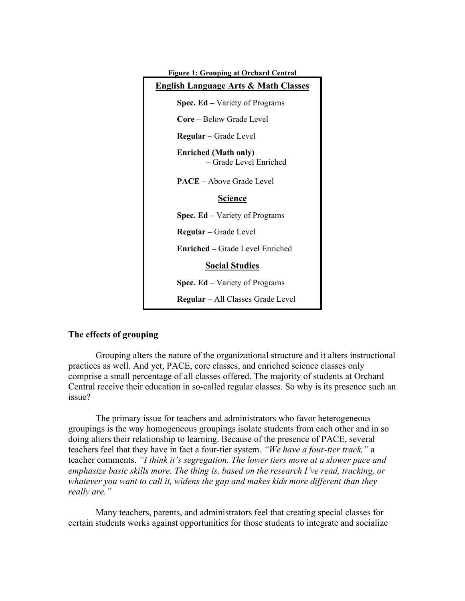| <b>Figure 1: Grouping at Orchard Central</b>          |
|-------------------------------------------------------|
| <b>English Language Arts &amp; Math Classes</b>       |
| <b>Spec. Ed</b> – Variety of Programs                 |
| Core - Below Grade Level                              |
| <b>Regular</b> – Grade Level                          |
| <b>Enriched (Math only)</b><br>- Grade Level Enriched |
| <b>PACE</b> – Above Grade Level                       |
| <b>Science</b>                                        |
| <b>Spec. Ed</b> – Variety of Programs                 |
| <b>Regular</b> – Grade Level                          |
| <b>Enriched</b> – Grade Level Enriched                |
| <b>Social Studies</b>                                 |
| <b>Spec. Ed</b> – Variety of Programs                 |
| <b>Regular</b> – All Classes Grade Level              |

#### **The effects of grouping**

 Grouping alters the nature of the organizational structure and it alters instructional practices as well. And yet, PACE, core classes, and enriched science classes only comprise a small percentage of all classes offered. The majority of students at Orchard Central receive their education in so-called regular classes. So why is its presence such an issue?

 The primary issue for teachers and administrators who favor heterogeneous groupings is the way homogeneous groupings isolate students from each other and in so doing alters their relationship to learning. Because of the presence of PACE, several teachers feel that they have in fact a four-tier system. *"We have a four-tier track,"* a teacher comments. *"I think it's segregation. The lower tiers move at a slower pace and emphasize basic skills more. The thing is, based on the research I've read, tracking, or whatever you want to call it, widens the gap and makes kids more different than they really are."* 

 Many teachers, parents, and administrators feel that creating special classes for certain students works against opportunities for those students to integrate and socialize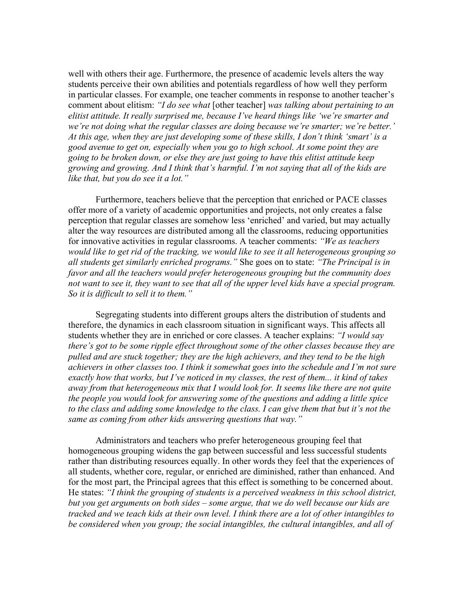well with others their age. Furthermore, the presence of academic levels alters the way students perceive their own abilities and potentials regardless of how well they perform in particular classes. For example, one teacher comments in response to another teacher's comment about elitism: *"I do see what* [other teacher] *was talking about pertaining to an elitist attitude. It really surprised me, because I've heard things like 'we're smarter and we're not doing what the regular classes are doing because we're smarter; we're better.' At this age, when they are just developing some of these skills, I don't think 'smart' is a good avenue to get on, especially when you go to high school. At some point they are going to be broken down, or else they are just going to have this elitist attitude keep growing and growing. And I think that's harmful. I'm not saying that all of the kids are like that, but you do see it a lot."* 

 Furthermore, teachers believe that the perception that enriched or PACE classes offer more of a variety of academic opportunities and projects, not only creates a false perception that regular classes are somehow less 'enriched' and varied, but may actually alter the way resources are distributed among all the classrooms, reducing opportunities for innovative activities in regular classrooms. A teacher comments: *"We as teachers would like to get rid of the tracking, we would like to see it all heterogeneous grouping so all students get similarly enriched programs."* She goes on to state: *"The Principal is in favor and all the teachers would prefer heterogeneous grouping but the community does*  not want to see it, they want to see that all of the upper level kids have a special program. *So it is difficult to sell it to them."* 

 Segregating students into different groups alters the distribution of students and therefore, the dynamics in each classroom situation in significant ways. This affects all students whether they are in enriched or core classes. A teacher explains: *"I would say there's got to be some ripple effect throughout some of the other classes because they are pulled and are stuck together; they are the high achievers, and they tend to be the high achievers in other classes too. I think it somewhat goes into the schedule and I'm not sure exactly how that works, but I've noticed in my classes, the rest of them... it kind of takes away from that heterogeneous mix that I would look for. It seems like there are not quite the people you would look for answering some of the questions and adding a little spice to the class and adding some knowledge to the class. I can give them that but it's not the same as coming from other kids answering questions that way."* 

 Administrators and teachers who prefer heterogeneous grouping feel that homogeneous grouping widens the gap between successful and less successful students rather than distributing resources equally. In other words they feel that the experiences of all students, whether core, regular, or enriched are diminished, rather than enhanced. And for the most part, the Principal agrees that this effect is something to be concerned about. He states: *"I think the grouping of students is a perceived weakness in this school district, but you get arguments on both sides – some argue, that we do well because our kids are tracked and we teach kids at their own level. I think there are a lot of other intangibles to be considered when you group; the social intangibles, the cultural intangibles, and all of*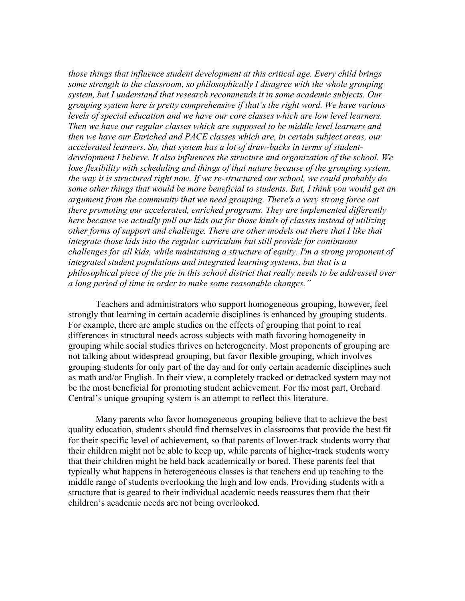*those things that influence student development at this critical age. Every child brings some strength to the classroom, so philosophically I disagree with the whole grouping system, but I understand that research recommends it in some academic subjects. Our grouping system here is pretty comprehensive if that's the right word. We have various levels of special education and we have our core classes which are low level learners. Then we have our regular classes which are supposed to be middle level learners and then we have our Enriched and PACE classes which are, in certain subject areas, our accelerated learners. So, that system has a lot of draw-backs in terms of studentdevelopment I believe. It also influences the structure and organization of the school. We*  lose flexibility with scheduling and things of that nature because of the grouping system, *the way it is structured right now. If we re-structured our school, we could probably do some other things that would be more beneficial to students. But, I think you would get an argument from the community that we need grouping. There's a very strong force out there promoting our accelerated, enriched programs. They are implemented differently here because we actually pull our kids out for those kinds of classes instead of utilizing other forms of support and challenge. There are other models out there that I like that integrate those kids into the regular curriculum but still provide for continuous challenges for all kids, while maintaining a structure of equity. I'm a strong proponent of integrated student populations and integrated learning systems, but that is a philosophical piece of the pie in this school district that really needs to be addressed over a long period of time in order to make some reasonable changes."* 

 Teachers and administrators who support homogeneous grouping, however, feel strongly that learning in certain academic disciplines is enhanced by grouping students. For example, there are ample studies on the effects of grouping that point to real differences in structural needs across subjects with math favoring homogeneity in grouping while social studies thrives on heterogeneity. Most proponents of grouping are not talking about widespread grouping, but favor flexible grouping, which involves grouping students for only part of the day and for only certain academic disciplines such as math and/or English. In their view, a completely tracked or detracked system may not be the most beneficial for promoting student achievement. For the most part, Orchard Central's unique grouping system is an attempt to reflect this literature.

 Many parents who favor homogeneous grouping believe that to achieve the best quality education, students should find themselves in classrooms that provide the best fit for their specific level of achievement, so that parents of lower-track students worry that their children might not be able to keep up, while parents of higher-track students worry that their children might be held back academically or bored. These parents feel that typically what happens in heterogeneous classes is that teachers end up teaching to the middle range of students overlooking the high and low ends. Providing students with a structure that is geared to their individual academic needs reassures them that their children's academic needs are not being overlooked.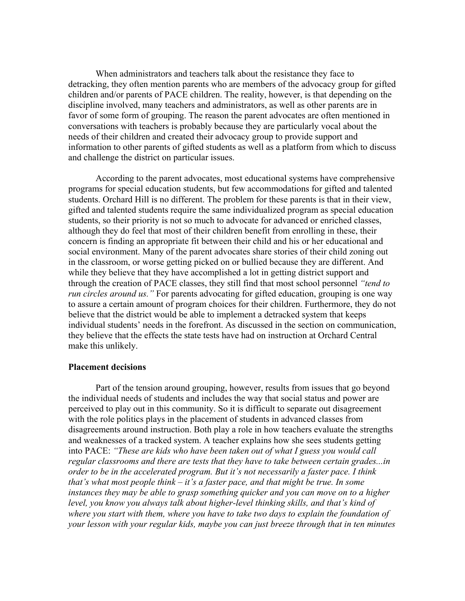When administrators and teachers talk about the resistance they face to detracking, they often mention parents who are members of the advocacy group for gifted children and/or parents of PACE children. The reality, however, is that depending on the discipline involved, many teachers and administrators, as well as other parents are in favor of some form of grouping. The reason the parent advocates are often mentioned in conversations with teachers is probably because they are particularly vocal about the needs of their children and created their advocacy group to provide support and information to other parents of gifted students as well as a platform from which to discuss and challenge the district on particular issues.

 According to the parent advocates, most educational systems have comprehensive programs for special education students, but few accommodations for gifted and talented students. Orchard Hill is no different. The problem for these parents is that in their view, gifted and talented students require the same individualized program as special education students, so their priority is not so much to advocate for advanced or enriched classes, although they do feel that most of their children benefit from enrolling in these, their concern is finding an appropriate fit between their child and his or her educational and social environment. Many of the parent advocates share stories of their child zoning out in the classroom, or worse getting picked on or bullied because they are different. And while they believe that they have accomplished a lot in getting district support and through the creation of PACE classes, they still find that most school personnel *"tend to run circles around us.* " For parents advocating for gifted education, grouping is one way to assure a certain amount of program choices for their children. Furthermore, they do not believe that the district would be able to implement a detracked system that keeps individual students' needs in the forefront. As discussed in the section on communication, they believe that the effects the state tests have had on instruction at Orchard Central make this unlikely.

#### **Placement decisions**

 Part of the tension around grouping, however, results from issues that go beyond the individual needs of students and includes the way that social status and power are perceived to play out in this community. So it is difficult to separate out disagreement with the role politics plays in the placement of students in advanced classes from disagreements around instruction. Both play a role in how teachers evaluate the strengths and weaknesses of a tracked system. A teacher explains how she sees students getting into PACE: *"These are kids who have been taken out of what I guess you would call regular classrooms and there are tests that they have to take between certain grades...in order to be in the accelerated program. But it's not necessarily a faster pace. I think that's what most people think – it's a faster pace, and that might be true. In some instances they may be able to grasp something quicker and you can move on to a higher level, you know you always talk about higher-level thinking skills, and that's kind of where you start with them, where you have to take two days to explain the foundation of your lesson with your regular kids, maybe you can just breeze through that in ten minutes*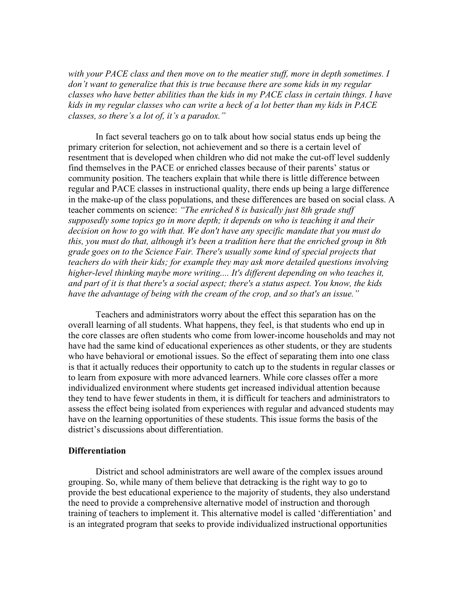*with your PACE class and then move on to the meatier stuff, more in depth sometimes. I don't want to generalize that this is true because there are some kids in my regular classes who have better abilities than the kids in my PACE class in certain things. I have kids in my regular classes who can write a heck of a lot better than my kids in PACE classes, so there's a lot of, it's a paradox."* 

 In fact several teachers go on to talk about how social status ends up being the primary criterion for selection, not achievement and so there is a certain level of resentment that is developed when children who did not make the cut-off level suddenly find themselves in the PACE or enriched classes because of their parents' status or community position. The teachers explain that while there is little difference between regular and PACE classes in instructional quality, there ends up being a large difference in the make-up of the class populations, and these differences are based on social class. A teacher comments on science: *"The enriched 8 is basically just 8th grade stuff supposedly some topics go in more depth; it depends on who is teaching it and their decision on how to go with that. We don't have any specific mandate that you must do this, you must do that, although it's been a tradition here that the enriched group in 8th grade goes on to the Science Fair. There's usually some kind of special projects that teachers do with their kids; for example they may ask more detailed questions involving higher-level thinking maybe more writing.... It's different depending on who teaches it, and part of it is that there's a social aspect; there's a status aspect. You know, the kids have the advantage of being with the cream of the crop, and so that's an issue."* 

 Teachers and administrators worry about the effect this separation has on the overall learning of all students. What happens, they feel, is that students who end up in the core classes are often students who come from lower-income households and may not have had the same kind of educational experiences as other students, or they are students who have behavioral or emotional issues. So the effect of separating them into one class is that it actually reduces their opportunity to catch up to the students in regular classes or to learn from exposure with more advanced learners. While core classes offer a more individualized environment where students get increased individual attention because they tend to have fewer students in them, it is difficult for teachers and administrators to assess the effect being isolated from experiences with regular and advanced students may have on the learning opportunities of these students. This issue forms the basis of the district's discussions about differentiation.

#### **Differentiation**

 District and school administrators are well aware of the complex issues around grouping. So, while many of them believe that detracking is the right way to go to provide the best educational experience to the majority of students, they also understand the need to provide a comprehensive alternative model of instruction and thorough training of teachers to implement it. This alternative model is called 'differentiation' and is an integrated program that seeks to provide individualized instructional opportunities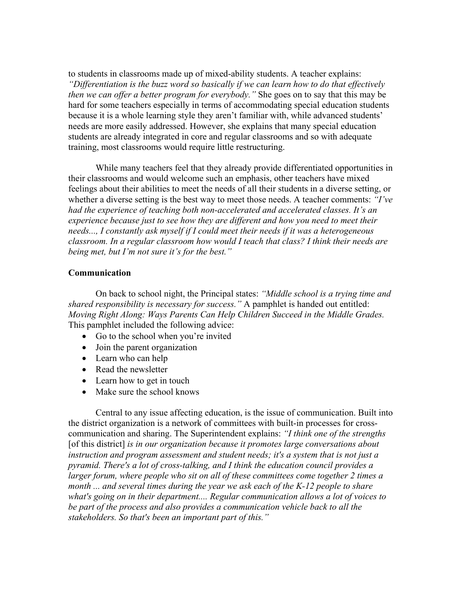to students in classrooms made up of mixed-ability students. A teacher explains: *"Differentiation is the buzz word so basically if we can learn how to do that effectively then we can offer a better program for everybody."* She goes on to say that this may be hard for some teachers especially in terms of accommodating special education students because it is a whole learning style they aren't familiar with, while advanced students' needs are more easily addressed. However, she explains that many special education students are already integrated in core and regular classrooms and so with adequate training, most classrooms would require little restructuring.

 While many teachers feel that they already provide differentiated opportunities in their classrooms and would welcome such an emphasis, other teachers have mixed feelings about their abilities to meet the needs of all their students in a diverse setting, or whether a diverse setting is the best way to meet those needs. A teacher comments: *"I've had the experience of teaching both non-accelerated and accelerated classes. It's an experience because just to see how they are different and how you need to meet their needs..., I constantly ask myself if I could meet their needs if it was a heterogeneous classroom. In a regular classroom how would I teach that class? I think their needs are being met, but I'm not sure it's for the best."*

#### **Communication**

 On back to school night, the Principal states: *"Middle school is a trying time and shared responsibility is necessary for success."* A pamphlet is handed out entitled: *Moving Right Along: Ways Parents Can Help Children Succeed in the Middle Grades.* This pamphlet included the following advice:

- Go to the school when you're invited
- Join the parent organization
- Learn who can help
- Read the newsletter
- Learn how to get in touch
- Make sure the school knows

 Central to any issue affecting education, is the issue of communication. Built into the district organization is a network of committees with built-in processes for crosscommunication and sharing. The Superintendent explains: *"I think one of the strengths* [of this district] *is in our organization because it promotes large conversations about instruction and program assessment and student needs; it's a system that is not just a pyramid. There's a lot of cross-talking, and I think the education council provides a larger forum, where people who sit on all of these committees come together 2 times a month ... and several times during the year we ask each of the K-12 people to share what's going on in their department.... Regular communication allows a lot of voices to be part of the process and also provides a communication vehicle back to all the stakeholders. So that's been an important part of this."*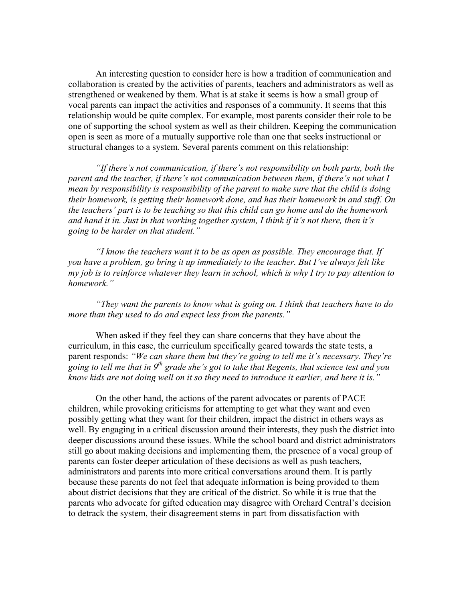An interesting question to consider here is how a tradition of communication and collaboration is created by the activities of parents, teachers and administrators as well as strengthened or weakened by them. What is at stake it seems is how a small group of vocal parents can impact the activities and responses of a community. It seems that this relationship would be quite complex. For example, most parents consider their role to be one of supporting the school system as well as their children. Keeping the communication open is seen as more of a mutually supportive role than one that seeks instructional or structural changes to a system. Several parents comment on this relationship:

 *"If there's not communication, if there's not responsibility on both parts, both the parent and the teacher, if there's not communication between them, if there's not what I mean by responsibility is responsibility of the parent to make sure that the child is doing their homework, is getting their homework done, and has their homework in and stuff. On the teachers' part is to be teaching so that this child can go home and do the homework and hand it in. Just in that working together system, I think if it's not there, then it's going to be harder on that student."* 

*"I know the teachers want it to be as open as possible. They encourage that. If you have a problem, go bring it up immediately to the teacher. But I've always felt like my job is to reinforce whatever they learn in school, which is why I try to pay attention to homework."* 

*"They want the parents to know what is going on. I think that teachers have to do more than they used to do and expect less from the parents."* 

 When asked if they feel they can share concerns that they have about the curriculum, in this case, the curriculum specifically geared towards the state tests, a parent responds: *"We can share them but they're going to tell me it's necessary. They're going to tell me that in 9th grade she's got to take that Regents, that science test and you know kids are not doing well on it so they need to introduce it earlier, and here it is."* 

 On the other hand, the actions of the parent advocates or parents of PACE children, while provoking criticisms for attempting to get what they want and even possibly getting what they want for their children, impact the district in others ways as well. By engaging in a critical discussion around their interests, they push the district into deeper discussions around these issues. While the school board and district administrators still go about making decisions and implementing them, the presence of a vocal group of parents can foster deeper articulation of these decisions as well as push teachers, administrators and parents into more critical conversations around them. It is partly because these parents do not feel that adequate information is being provided to them about district decisions that they are critical of the district. So while it is true that the parents who advocate for gifted education may disagree with Orchard Central's decision to detrack the system, their disagreement stems in part from dissatisfaction with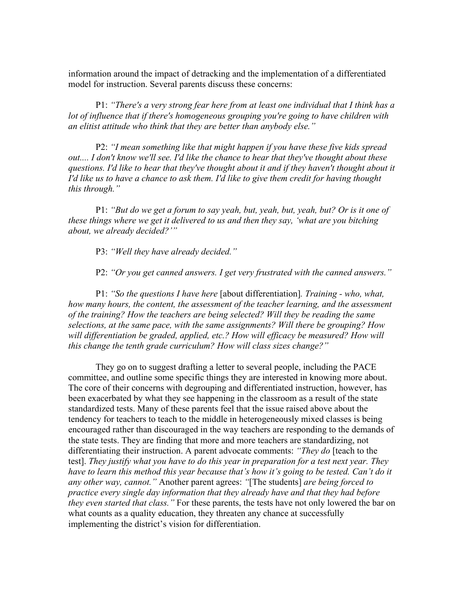information around the impact of detracking and the implementation of a differentiated model for instruction. Several parents discuss these concerns:

 P1: *"There's a very strong fear here from at least one individual that I think has a lot of influence that if there's homogeneous grouping you're going to have children with an elitist attitude who think that they are better than anybody else."* 

 P2: *"I mean something like that might happen if you have these five kids spread out.... I don't know we'll see. I'd like the chance to hear that they've thought about these questions. I'd like to hear that they've thought about it and if they haven't thought about it I'd like us to have a chance to ask them. I'd like to give them credit for having thought this through."* 

 P1: *"But do we get a forum to say yeah, but, yeah, but, yeah, but? Or is it one of these things where we get it delivered to us and then they say, 'what are you bitching about, we already decided?'"* 

P3: *"Well they have already decided."* 

P2: *"Or you get canned answers. I get very frustrated with the canned answers."* 

 P1: *"So the questions I have here* [about differentiation]*. Training - who, what, how many hours, the content, the assessment of the teacher learning, and the assessment of the training? How the teachers are being selected? Will they be reading the same selections, at the same pace, with the same assignments? Will there be grouping? How*  will differentiation be graded, applied, etc.? How will efficacy be measured? How will *this change the tenth grade curriculum? How will class sizes change?"* 

 They go on to suggest drafting a letter to several people, including the PACE committee, and outline some specific things they are interested in knowing more about. The core of their concerns with degrouping and differentiated instruction, however, has been exacerbated by what they see happening in the classroom as a result of the state standardized tests. Many of these parents feel that the issue raised above about the tendency for teachers to teach to the middle in heterogeneously mixed classes is being encouraged rather than discouraged in the way teachers are responding to the demands of the state tests. They are finding that more and more teachers are standardizing, not differentiating their instruction. A parent advocate comments: *"They do* [teach to the test]. *They justify what you have to do this year in preparation for a test next year. They*  have to learn this method this year because that's how it's going to be tested. Can't do it *any other way, cannot."* Another parent agrees: *"*[The students] *are being forced to practice every single day information that they already have and that they had before they even started that class."* For these parents, the tests have not only lowered the bar on what counts as a quality education, they threaten any chance at successfully implementing the district's vision for differentiation.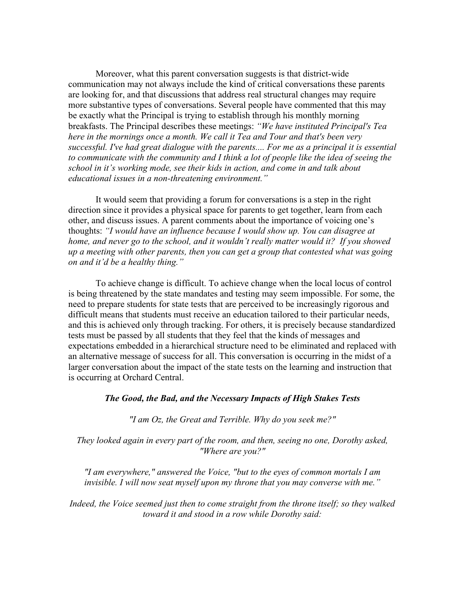Moreover, what this parent conversation suggests is that district-wide communication may not always include the kind of critical conversations these parents are looking for, and that discussions that address real structural changes may require more substantive types of conversations. Several people have commented that this may be exactly what the Principal is trying to establish through his monthly morning breakfasts. The Principal describes these meetings: *"We have instituted Principal's Tea here in the mornings once a month. We call it Tea and Tour and that's been very*  successful. I've had great dialogue with the parents.... For me as a principal it is essential *to communicate with the community and I think a lot of people like the idea of seeing the school in it's working mode, see their kids in action, and come in and talk about educational issues in a non-threatening environment."* 

 It would seem that providing a forum for conversations is a step in the right direction since it provides a physical space for parents to get together, learn from each other, and discuss issues. A parent comments about the importance of voicing one's thoughts: *"I would have an influence because I would show up. You can disagree at home, and never go to the school, and it wouldn't really matter would it? If you showed up a meeting with other parents, then you can get a group that contested what was going on and it'd be a healthy thing."* 

 To achieve change is difficult. To achieve change when the local locus of control is being threatened by the state mandates and testing may seem impossible. For some, the need to prepare students for state tests that are perceived to be increasingly rigorous and difficult means that students must receive an education tailored to their particular needs, and this is achieved only through tracking. For others, it is precisely because standardized tests must be passed by all students that they feel that the kinds of messages and expectations embedded in a hierarchical structure need to be eliminated and replaced with an alternative message of success for all. This conversation is occurring in the midst of a larger conversation about the impact of the state tests on the learning and instruction that is occurring at Orchard Central.

#### *The Good, the Bad, and the Necessary Impacts of High Stakes Tests*

*"I am Oz, the Great and Terrible. Why do you seek me?"* 

*They looked again in every part of the room, and then, seeing no one, Dorothy asked, "Where are you?"* 

*"I am everywhere," answered the Voice, "but to the eyes of common mortals I am invisible. I will now seat myself upon my throne that you may converse with me."* 

*Indeed, the Voice seemed just then to come straight from the throne itself; so they walked toward it and stood in a row while Dorothy said:*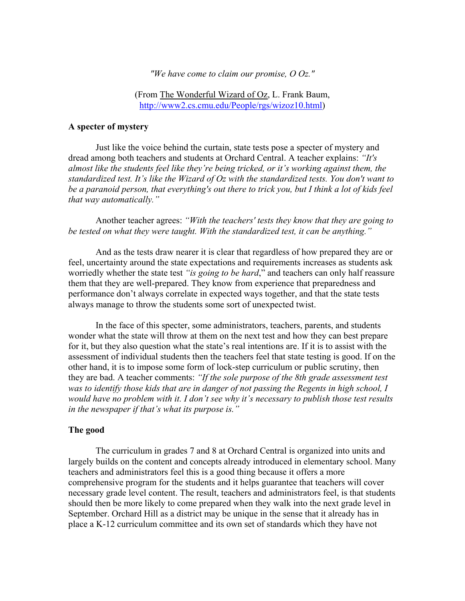*"We have come to claim our promise, O Oz."* 

(From The Wonderful Wizard of Oz, L. Frank Baum, http://www2.cs.cmu.edu/People/rgs/wizoz10.html)

#### **A specter of mystery**

Just like the voice behind the curtain, state tests pose a specter of mystery and dread among both teachers and students at Orchard Central. A teacher explains: *"It's almost like the students feel like they're being tricked, or it's working against them, the standardized test. It's like the Wizard of Oz with the standardized tests. You don't want to be a paranoid person, that everything's out there to trick you, but I think a lot of kids feel that way automatically."* 

Another teacher agrees: *"With the teachers' tests they know that they are going to be tested on what they were taught. With the standardized test, it can be anything."*

And as the tests draw nearer it is clear that regardless of how prepared they are or feel, uncertainty around the state expectations and requirements increases as students ask worriedly whether the state test *"is going to be hard*," and teachers can only half reassure them that they are well-prepared. They know from experience that preparedness and performance don't always correlate in expected ways together, and that the state tests always manage to throw the students some sort of unexpected twist.

In the face of this specter, some administrators, teachers, parents, and students wonder what the state will throw at them on the next test and how they can best prepare for it, but they also question what the state's real intentions are. If it is to assist with the assessment of individual students then the teachers feel that state testing is good. If on the other hand, it is to impose some form of lock-step curriculum or public scrutiny, then they are bad. A teacher comments: *"If the sole purpose of the 8th grade assessment test was to identify those kids that are in danger of not passing the Regents in high school, I would have no problem with it. I don't see why it's necessary to publish those test results in the newspaper if that's what its purpose is."*

#### **The good**

The curriculum in grades 7 and 8 at Orchard Central is organized into units and largely builds on the content and concepts already introduced in elementary school. Many teachers and administrators feel this is a good thing because it offers a more comprehensive program for the students and it helps guarantee that teachers will cover necessary grade level content. The result, teachers and administrators feel, is that students should then be more likely to come prepared when they walk into the next grade level in September. Orchard Hill as a district may be unique in the sense that it already has in place a K-12 curriculum committee and its own set of standards which they have not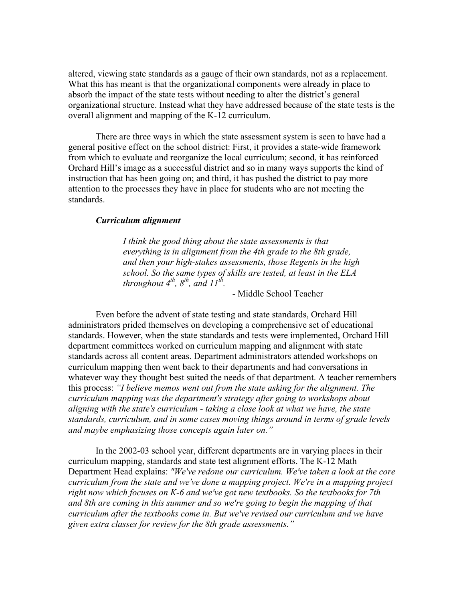altered, viewing state standards as a gauge of their own standards, not as a replacement. What this has meant is that the organizational components were already in place to absorb the impact of the state tests without needing to alter the district's general organizational structure. Instead what they have addressed because of the state tests is the overall alignment and mapping of the K-12 curriculum.

There are three ways in which the state assessment system is seen to have had a general positive effect on the school district: First, it provides a state-wide framework from which to evaluate and reorganize the local curriculum; second, it has reinforced Orchard Hill's image as a successful district and so in many ways supports the kind of instruction that has been going on; and third, it has pushed the district to pay more attention to the processes they have in place for students who are not meeting the standards.

#### *Curriculum alignment*

 *I think the good thing about the state assessments is that everything is in alignment from the 4th grade to the 8th grade, and then your high-stakes assessments, those Regents in the high school. So the same types of skills are tested, at least in the ELA throughout*  $4^{th}$ ,  $8^{th}$ , and  $11^{th}$ .

- Middle School Teacher

 Even before the advent of state testing and state standards, Orchard Hill administrators prided themselves on developing a comprehensive set of educational standards. However, when the state standards and tests were implemented, Orchard Hill department committees worked on curriculum mapping and alignment with state standards across all content areas. Department administrators attended workshops on curriculum mapping then went back to their departments and had conversations in whatever way they thought best suited the needs of that department. A teacher remembers this process: *"I believe memos went out from the state asking for the alignment. The curriculum mapping was the department's strategy after going to workshops about aligning with the state's curriculum - taking a close look at what we have, the state standards, curriculum, and in some cases moving things around in terms of grade levels and maybe emphasizing those concepts again later on."* 

 In the 2002-03 school year, different departments are in varying places in their curriculum mapping, standards and state test alignment efforts. The K-12 Math Department Head explains: *"We've redone our curriculum. We've taken a look at the core curriculum from the state and we've done a mapping project. We're in a mapping project right now which focuses on K-6 and we've got new textbooks. So the textbooks for 7th and 8th are coming in this summer and so we're going to begin the mapping of that curriculum after the textbooks come in. But we've revised our curriculum and we have given extra classes for review for the 8th grade assessments."*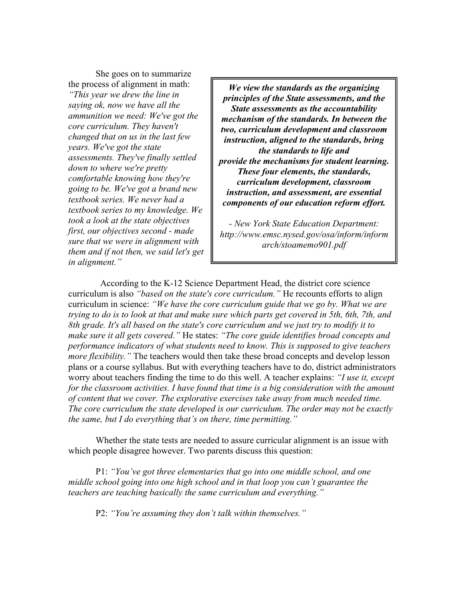She goes on to summarize the process of alignment in math: *"This year we drew the line in saying ok, now we have all the ammunition we need: We've got the core curriculum. They haven't changed that on us in the last few years. We've got the state assessments. They've finally settled down to where we're pretty comfortable knowing how they're going to be. We've got a brand new textbook series. We never had a textbook series to my knowledge. We took a look at the state objectives first, our objectives second - made sure that we were in alignment with them and if not then, we said let's get in alignment."*

*We view the standards as the organizing principles of the State assessments, and the State assessments as the accountability mechanism of the standards. In between the two, curriculum development and classroom instruction, aligned to the standards, bring the standards to life and provide the mechanisms for student learning. These four elements, the standards, curriculum development, classroom instruction, and assessment, are essential components of our education reform effort.* 

*- New York State Education Department: http://www.emsc.nysed.gov/osa/inform/inform arch/stoamemo901.pdf* 

 According to the K-12 Science Department Head, the district core science curriculum is also *"based on the state's core curriculum."* He recounts efforts to align curriculum in science: *"We have the core curriculum guide that we go by. What we are trying to do is to look at that and make sure which parts get covered in 5th, 6th, 7th, and 8th grade. It's all based on the state's core curriculum and we just try to modify it to make sure it all gets covered."* He states: *"The core guide identifies broad concepts and performance indicators of what students need to know. This is supposed to give teachers more flexibility.* " The teachers would then take these broad concepts and develop lesson plans or a course syllabus. But with everything teachers have to do, district administrators worry about teachers finding the time to do this well. A teacher explains: *"I use it, except for the classroom activities. I have found that time is a big consideration with the amount of content that we cover. The explorative exercises take away from much needed time. The core curriculum the state developed is our curriculum. The order may not be exactly the same, but I do everything that's on there, time permitting."* 

Whether the state tests are needed to assure curricular alignment is an issue with which people disagree however. Two parents discuss this question:

P1: *"You've got three elementaries that go into one middle school, and one middle school going into one high school and in that loop you can't guarantee the teachers are teaching basically the same curriculum and everything."* 

P2: *"You're assuming they don't talk within themselves."*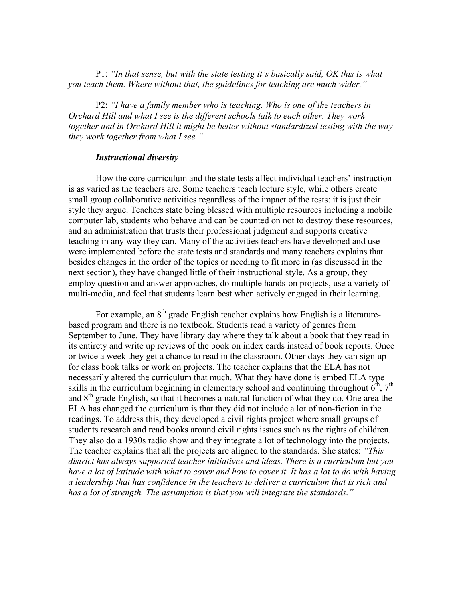P1: *"In that sense, but with the state testing it's basically said, OK this is what you teach them. Where without that, the guidelines for teaching are much wider."* 

P2: *"I have a family member who is teaching. Who is one of the teachers in Orchard Hill and what I see is the different schools talk to each other. They work together and in Orchard Hill it might be better without standardized testing with the way they work together from what I see."* 

#### *Instructional diversity*

How the core curriculum and the state tests affect individual teachers' instruction is as varied as the teachers are. Some teachers teach lecture style, while others create small group collaborative activities regardless of the impact of the tests: it is just their style they argue. Teachers state being blessed with multiple resources including a mobile computer lab, students who behave and can be counted on not to destroy these resources, and an administration that trusts their professional judgment and supports creative teaching in any way they can. Many of the activities teachers have developed and use were implemented before the state tests and standards and many teachers explains that besides changes in the order of the topics or needing to fit more in (as discussed in the next section), they have changed little of their instructional style. As a group, they employ question and answer approaches, do multiple hands-on projects, use a variety of multi-media, and feel that students learn best when actively engaged in their learning.

For example, an 8<sup>th</sup> grade English teacher explains how English is a literaturebased program and there is no textbook. Students read a variety of genres from September to June. They have library day where they talk about a book that they read in its entirety and write up reviews of the book on index cards instead of book reports. Once or twice a week they get a chance to read in the classroom. Other days they can sign up for class book talks or work on projects. The teacher explains that the ELA has not necessarily altered the curriculum that much. What they have done is embed ELA type skills in the curriculum beginning in elementary school and continuing throughout  $6<sup>th</sup>$ ,  $7<sup>th</sup>$ and  $8<sup>th</sup>$  grade English, so that it becomes a natural function of what they do. One area the ELA has changed the curriculum is that they did not include a lot of non-fiction in the readings. To address this, they developed a civil rights project where small groups of students research and read books around civil rights issues such as the rights of children. They also do a 1930s radio show and they integrate a lot of technology into the projects. The teacher explains that all the projects are aligned to the standards. She states: *"This district has always supported teacher initiatives and ideas. There is a curriculum but you have a lot of latitude with what to cover and how to cover it. It has a lot to do with having a leadership that has confidence in the teachers to deliver a curriculum that is rich and has a lot of strength. The assumption is that you will integrate the standards."*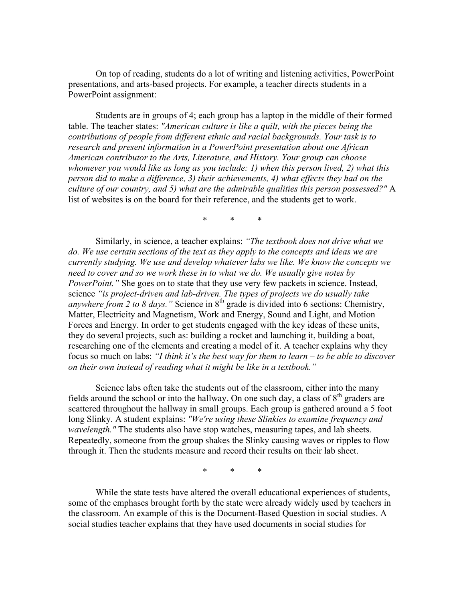On top of reading, students do a lot of writing and listening activities, PowerPoint presentations, and arts-based projects. For example, a teacher directs students in a PowerPoint assignment:

 Students are in groups of 4; each group has a laptop in the middle of their formed table. The teacher states: *"American culture is like a quilt, with the pieces being the contributions of people from different ethnic and racial backgrounds. Your task is to research and present information in a PowerPoint presentation about one African American contributor to the Arts, Literature, and History. Your group can choose whomever you would like as long as you include: 1) when this person lived, 2) what this person did to make a difference, 3) their achievements, 4) what effects they had on the culture of our country, and 5) what are the admirable qualities this person possessed?"* A list of websites is on the board for their reference, and the students get to work.

\* \* \*

Similarly, in science, a teacher explains: *"The textbook does not drive what we do. We use certain sections of the text as they apply to the concepts and ideas we are currently studying. We use and develop whatever labs we like. We know the concepts we need to cover and so we work these in to what we do. We usually give notes by PowerPoint.*" She goes on to state that they use very few packets in science. Instead, science *"is project-driven and lab-driven. The types of projects we do usually take anywhere from 2 to 8 days.*" Science in 8<sup>th</sup> grade is divided into 6 sections: Chemistry, Matter, Electricity and Magnetism, Work and Energy, Sound and Light, and Motion Forces and Energy. In order to get students engaged with the key ideas of these units, they do several projects, such as: building a rocket and launching it, building a boat, researching one of the elements and creating a model of it. A teacher explains why they focus so much on labs: *"I think it's the best way for them to learn – to be able to discover on their own instead of reading what it might be like in a textbook."* 

 Science labs often take the students out of the classroom, either into the many fields around the school or into the hallway. On one such day, a class of  $8<sup>th</sup>$  graders are scattered throughout the hallway in small groups. Each group is gathered around a 5 foot long Slinky. A student explains: *"We're using these Slinkies to examine frequency and wavelength."* The students also have stop watches, measuring tapes, and lab sheets. Repeatedly, someone from the group shakes the Slinky causing waves or ripples to flow through it. Then the students measure and record their results on their lab sheet.

\* \* \*

While the state tests have altered the overall educational experiences of students, some of the emphases brought forth by the state were already widely used by teachers in the classroom. An example of this is the Document-Based Question in social studies. A social studies teacher explains that they have used documents in social studies for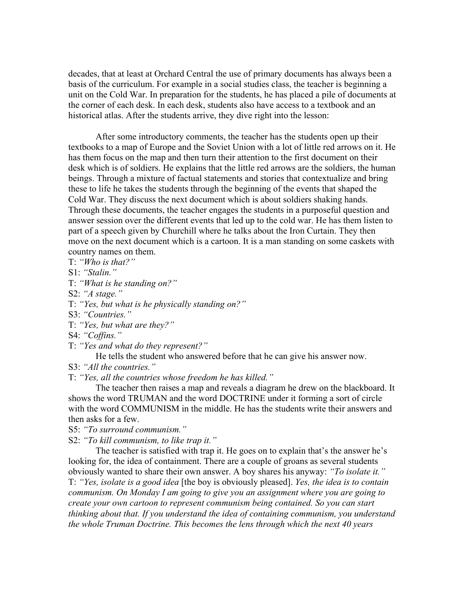decades, that at least at Orchard Central the use of primary documents has always been a basis of the curriculum. For example in a social studies class, the teacher is beginning a unit on the Cold War. In preparation for the students, he has placed a pile of documents at the corner of each desk. In each desk, students also have access to a textbook and an historical atlas. After the students arrive, they dive right into the lesson:

 After some introductory comments, the teacher has the students open up their textbooks to a map of Europe and the Soviet Union with a lot of little red arrows on it. He has them focus on the map and then turn their attention to the first document on their desk which is of soldiers. He explains that the little red arrows are the soldiers, the human beings. Through a mixture of factual statements and stories that contextualize and bring these to life he takes the students through the beginning of the events that shaped the Cold War. They discuss the next document which is about soldiers shaking hands. Through these documents, the teacher engages the students in a purposeful question and answer session over the different events that led up to the cold war. He has them listen to part of a speech given by Churchill where he talks about the Iron Curtain. They then move on the next document which is a cartoon. It is a man standing on some caskets with country names on them.

T: *"Who is that?"*

S1: *"Stalin."* 

T: *"What is he standing on?"* 

S2: *"A stage."*

T: *"Yes, but what is he physically standing on?"* 

- S3: *"Countries."*
- T: *"Yes, but what are they?"*
- S4: *"Coffins."*

T: *"Yes and what do they represent?"* 

He tells the student who answered before that he can give his answer now.

S3: *"All the countries."*

T: *"Yes, all the countries whose freedom he has killed."* 

 The teacher then raises a map and reveals a diagram he drew on the blackboard. It shows the word TRUMAN and the word DOCTRINE under it forming a sort of circle with the word COMMUNISM in the middle. He has the students write their answers and then asks for a few.

S5: *"To surround communism."* 

S2: *"To kill communism, to like trap it."* 

 The teacher is satisfied with trap it. He goes on to explain that's the answer he's looking for, the idea of containment. There are a couple of groans as several students obviously wanted to share their own answer. A boy shares his anyway: *"To isolate it."* T: *"Yes, isolate is a good idea* [the boy is obviously pleased]. *Yes, the idea is to contain communism. On Monday I am going to give you an assignment where you are going to create your own cartoon to represent communism being contained. So you can start thinking about that. If you understand the idea of containing communism, you understand the whole Truman Doctrine. This becomes the lens through which the next 40 years*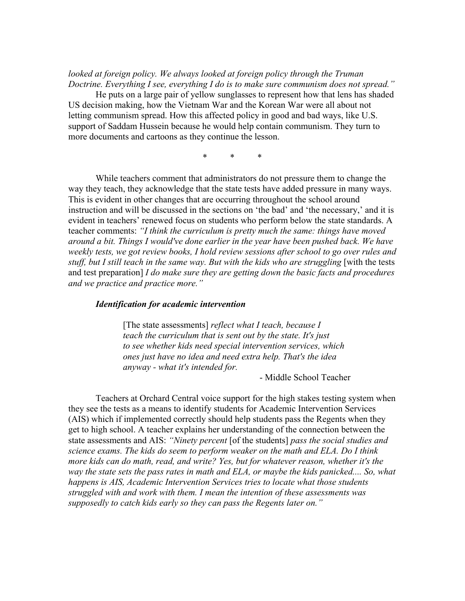#### *looked at foreign policy. We always looked at foreign policy through the Truman Doctrine. Everything I see, everything I do is to make sure communism does not spread."*

 He puts on a large pair of yellow sunglasses to represent how that lens has shaded US decision making, how the Vietnam War and the Korean War were all about not letting communism spread. How this affected policy in good and bad ways, like U.S. support of Saddam Hussein because he would help contain communism. They turn to more documents and cartoons as they continue the lesson.

\* \* \*

While teachers comment that administrators do not pressure them to change the way they teach, they acknowledge that the state tests have added pressure in many ways. This is evident in other changes that are occurring throughout the school around instruction and will be discussed in the sections on 'the bad' and 'the necessary,' and it is evident in teachers' renewed focus on students who perform below the state standards. A teacher comments: *"I think the curriculum is pretty much the same: things have moved around a bit. Things I would've done earlier in the year have been pushed back. We have weekly tests, we got review books, I hold review sessions after school to go over rules and stuff, but I still teach in the same way. But with the kids who are struggling* [with the tests and test preparation] *I do make sure they are getting down the basic facts and procedures and we practice and practice more."*

#### *Identification for academic intervention*

[The state assessments] *reflect what I teach, because I teach the curriculum that is sent out by the state. It's just to see whether kids need special intervention services, which ones just have no idea and need extra help. That's the idea anyway - what it's intended for.* 

- Middle School Teacher

 Teachers at Orchard Central voice support for the high stakes testing system when they see the tests as a means to identify students for Academic Intervention Services (AIS) which if implemented correctly should help students pass the Regents when they get to high school. A teacher explains her understanding of the connection between the state assessments and AIS: *"Ninety percent* [of the students] *pass the social studies and science exams. The kids do seem to perform weaker on the math and ELA. Do I think more kids can do math, read, and write? Yes, but for whatever reason, whether it's the*  way the state sets the pass rates in math and ELA, or maybe the kids panicked.... So, what *happens is AIS, Academic Intervention Services tries to locate what those students struggled with and work with them. I mean the intention of these assessments was supposedly to catch kids early so they can pass the Regents later on."*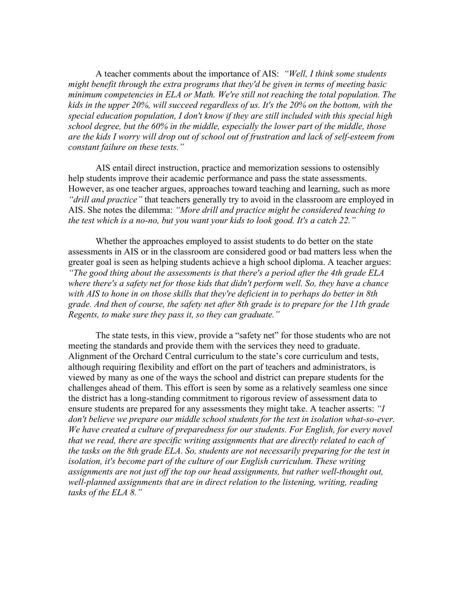A teacher comments about the importance of AIS: *"Well, I think some students might benefit through the extra programs that they'd be given in terms of meeting basic minimum competencies in ELA or Math. We're still not reaching the total population. The kids in the upper 20%, will succeed regardless of us. It's the 20% on the bottom, with the special education population, I don't know if they are still included with this special high school degree, but the 60% in the middle, especially the lower part of the middle, those are the kids I worry will drop out of school out of frustration and lack of self-esteem from constant failure on these tests."* 

AIS entail direct instruction, practice and memorization sessions to ostensibly help students improve their academic performance and pass the state assessments. However, as one teacher argues, approaches toward teaching and learning, such as more *"drill and practice"* that teachers generally try to avoid in the classroom are employed in AIS. She notes the dilemma: *"More drill and practice might be considered teaching to the test which is a no-no, but you want your kids to look good. It's a catch 22."*

 Whether the approaches employed to assist students to do better on the state assessments in AIS or in the classroom are considered good or bad matters less when the greater goal is seen as helping students achieve a high school diploma. A teacher argues: *"The good thing about the assessments is that there's a period after the 4th grade ELA where there's a safety net for those kids that didn't perform well. So, they have a chance with AIS to hone in on those skills that they're deficient in to perhaps do better in 8th grade. And then of course, the safety net after 8th grade is to prepare for the 11th grade Regents, to make sure they pass it, so they can graduate."* 

 The state tests, in this view, provide a "safety net" for those students who are not meeting the standards and provide them with the services they need to graduate. Alignment of the Orchard Central curriculum to the state's core curriculum and tests, although requiring flexibility and effort on the part of teachers and administrators, is viewed by many as one of the ways the school and district can prepare students for the challenges ahead of them. This effort is seen by some as a relatively seamless one since the district has a long-standing commitment to rigorous review of assessment data to ensure students are prepared for any assessments they might take. A teacher asserts: *"I don't believe we prepare our middle school students for the test in isolation what-so-ever. We have created a culture of preparedness for our students. For English, for every novel that we read, there are specific writing assignments that are directly related to each of the tasks on the 8th grade ELA. So, students are not necessarily preparing for the test in isolation, it's become part of the culture of our English curriculum. These writing assignments are not just off the top our head assignments, but rather well-thought out, well-planned assignments that are in direct relation to the listening, writing, reading tasks of the ELA 8."*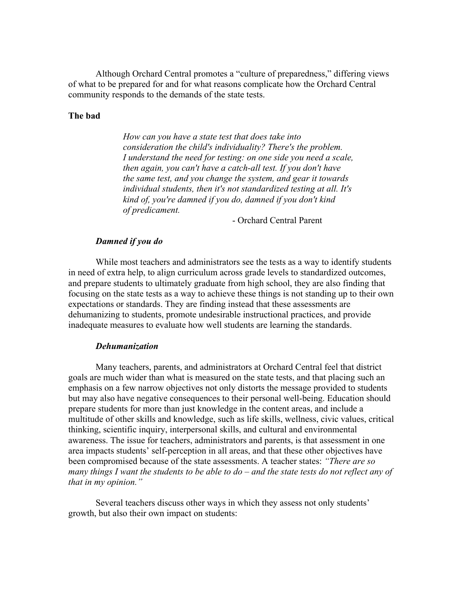Although Orchard Central promotes a "culture of preparedness," differing views of what to be prepared for and for what reasons complicate how the Orchard Central community responds to the demands of the state tests.

#### **The bad**

 *How can you have a state test that does take into consideration the child's individuality? There's the problem. I understand the need for testing: on one side you need a scale, then again, you can't have a catch-all test. If you don't have the same test, and you change the system, and gear it towards individual students, then it's not standardized testing at all. It's kind of, you're damned if you do, damned if you don't kind of predicament.* 

- Orchard Central Parent

#### *Damned if you do*

 While most teachers and administrators see the tests as a way to identify students in need of extra help, to align curriculum across grade levels to standardized outcomes, and prepare students to ultimately graduate from high school, they are also finding that focusing on the state tests as a way to achieve these things is not standing up to their own expectations or standards. They are finding instead that these assessments are dehumanizing to students, promote undesirable instructional practices, and provide inadequate measures to evaluate how well students are learning the standards.

#### *Dehumanization*

 Many teachers, parents, and administrators at Orchard Central feel that district goals are much wider than what is measured on the state tests, and that placing such an emphasis on a few narrow objectives not only distorts the message provided to students but may also have negative consequences to their personal well-being. Education should prepare students for more than just knowledge in the content areas, and include a multitude of other skills and knowledge, such as life skills, wellness, civic values, critical thinking, scientific inquiry, interpersonal skills, and cultural and environmental awareness. The issue for teachers, administrators and parents, is that assessment in one area impacts students' self-perception in all areas, and that these other objectives have been compromised because of the state assessments. A teacher states: *"There are so many things I want the students to be able to do – and the state tests do not reflect any of that in my opinion."* 

 Several teachers discuss other ways in which they assess not only students' growth, but also their own impact on students: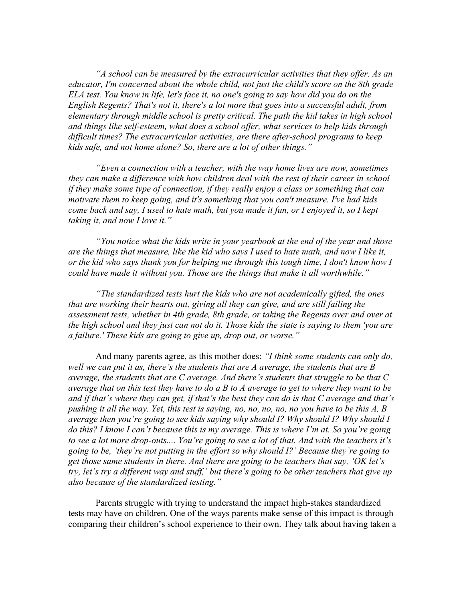*"A school can be measured by the extracurricular activities that they offer. As an educator, I'm concerned about the whole child, not just the child's score on the 8th grade ELA test. You know in life, let's face it, no one's going to say how did you do on the English Regents? That's not it, there's a lot more that goes into a successful adult, from elementary through middle school is pretty critical. The path the kid takes in high school and things like self-esteem, what does a school offer, what services to help kids through difficult times? The extracurricular activities, are there after-school programs to keep kids safe, and not home alone? So, there are a lot of other things."* 

*"Even a connection with a teacher, with the way home lives are now, sometimes they can make a difference with how children deal with the rest of their career in school if they make some type of connection, if they really enjoy a class or something that can motivate them to keep going, and it's something that you can't measure. I've had kids come back and say, I used to hate math, but you made it fun, or I enjoyed it, so I kept taking it, and now I love it."* 

*"You notice what the kids write in your yearbook at the end of the year and those are the things that measure, like the kid who says I used to hate math, and now I like it, or the kid who says thank you for helping me through this tough time, I don't know how I could have made it without you. Those are the things that make it all worthwhile."* 

*"The standardized tests hurt the kids who are not academically gifted, the ones that are working their hearts out, giving all they can give, and are still failing the assessment tests, whether in 4th grade, 8th grade, or taking the Regents over and over at the high school and they just can not do it. Those kids the state is saying to them 'you are a failure.' These kids are going to give up, drop out, or worse."* 

And many parents agree, as this mother does: *"I think some students can only do, well we can put it as, there's the students that are A average, the students that are B average, the students that are C average. And there's students that struggle to be that C average that on this test they have to do a B to A average to get to where they want to be and if that's where they can get, if that's the best they can do is that C average and that's pushing it all the way. Yet, this test is saying, no, no, no, no, no you have to be this A, B average then you're going to see kids saying why should I? Why should I? Why should I do this? I know I can't because this is my average. This is where I'm at. So you're going to see a lot more drop-outs.... You're going to see a lot of that. And with the teachers it's going to be, 'they're not putting in the effort so why should I?' Because they're going to get those same students in there. And there are going to be teachers that say, 'OK let's try, let's try a different way and stuff,' but there's going to be other teachers that give up also because of the standardized testing."* 

 Parents struggle with trying to understand the impact high-stakes standardized tests may have on children. One of the ways parents make sense of this impact is through comparing their children's school experience to their own. They talk about having taken a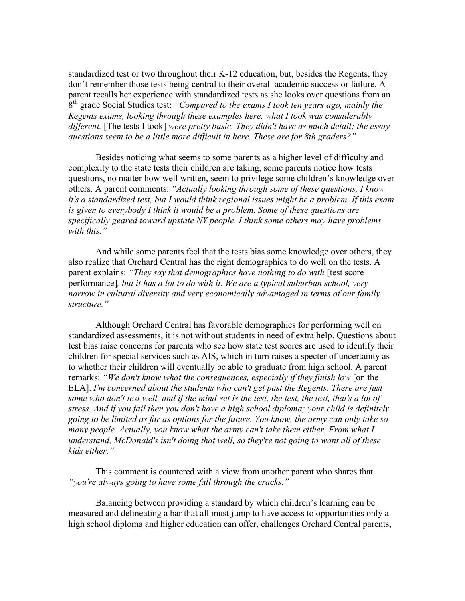standardized test or two throughout their K-12 education, but, besides the Regents, they don't remember those tests being central to their overall academic success or failure. A parent recalls her experience with standardized tests as she looks over questions from an 8th grade Social Studies test: *"Compared to the exams I took ten years ago, mainly the Regents exams, looking through these examples here, what I took was considerably different.* [The tests I took] *were pretty basic. They didn't have as much detail; the essay questions seem to be a little more difficult in here. These are for 8th graders?"* 

Besides noticing what seems to some parents as a higher level of difficulty and complexity to the state tests their children are taking, some parents notice how tests questions, no matter how well written, seem to privilege some children's knowledge over others. A parent comments: *"Actually looking through some of these questions, I know it's a standardized test, but I would think regional issues might be a problem. If this exam is given to everybody I think it would be a problem. Some of these questions are specifically geared toward upstate NY people. I think some others may have problems with this."* 

 And while some parents feel that the tests bias some knowledge over others, they also realize that Orchard Central has the right demographics to do well on the tests. A parent explains: *"They say that demographics have nothing to do with* [test score performance]*, but it has a lot to do with it. We are a typical suburban school, very narrow in cultural diversity and very economically advantaged in terms of our family structure."* 

Although Orchard Central has favorable demographics for performing well on standardized assessments, it is not without students in need of extra help. Questions about test bias raise concerns for parents who see how state test scores are used to identify their children for special services such as AIS, which in turn raises a specter of uncertainty as to whether their children will eventually be able to graduate from high school. A parent remarks: *"We don't know what the consequences, especially if they finish low* [on the ELA]. *I'm concerned about the students who can't get past the Regents. There are just some who don't test well, and if the mind-set is the test, the test, the test, that's a lot of stress. And if you fail then you don't have a high school diploma; your child is definitely going to be limited as far as options for the future. You know, the army can only take so many people. Actually, you know what the army can't take them either. From what I understand, McDonald's isn't doing that well, so they're not going to want all of these kids either."*

 This comment is countered with a view from another parent who shares that *"you're always going to have some fall through the cracks."*

 Balancing between providing a standard by which children's learning can be measured and delineating a bar that all must jump to have access to opportunities only a high school diploma and higher education can offer, challenges Orchard Central parents,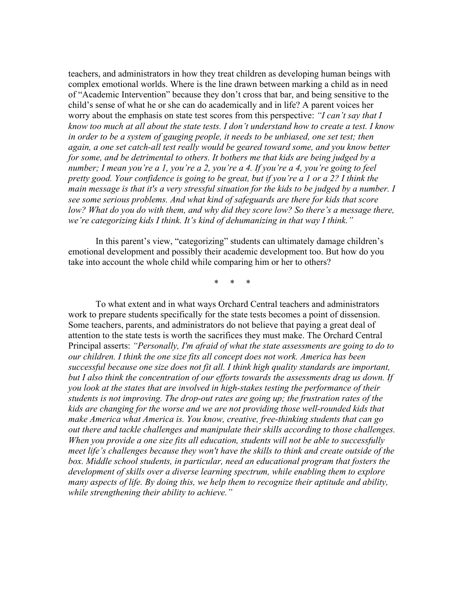teachers, and administrators in how they treat children as developing human beings with complex emotional worlds. Where is the line drawn between marking a child as in need of "Academic Intervention" because they don't cross that bar, and being sensitive to the child's sense of what he or she can do academically and in life? A parent voices her worry about the emphasis on state test scores from this perspective: *"I can't say that I know too much at all about the state tests. I don't understand how to create a test. I know in order to be a system of gauging people, it needs to be unbiased, one set test; then again, a one set catch-all test really would be geared toward some, and you know better for some, and be detrimental to others. It bothers me that kids are being judged by a number; I mean you're a 1, you're a 2, you're a 4. If you're a 4, you're going to feel pretty good. Your confidence is going to be great, but if you're a 1 or a 2? I think the main message is that it's a very stressful situation for the kids to be judged by a number. I see some serious problems. And what kind of safeguards are there for kids that score*  low? What do you do with them, and why did they score low? So there's a message there, *we're categorizing kids I think. It's kind of dehumanizing in that way I think."* 

 In this parent's view, "categorizing" students can ultimately damage children's emotional development and possibly their academic development too. But how do you take into account the whole child while comparing him or her to others?

\* \* \*

To what extent and in what ways Orchard Central teachers and administrators work to prepare students specifically for the state tests becomes a point of dissension. Some teachers, parents, and administrators do not believe that paying a great deal of attention to the state tests is worth the sacrifices they must make. The Orchard Central Principal asserts: *"Personally, I'm afraid of what the state assessments are going to do to our children. I think the one size fits all concept does not work. America has been successful because one size does not fit all. I think high quality standards are important,*  but I also think the concentration of our efforts towards the assessments drag us down. If *you look at the states that are involved in high-stakes testing the performance of their students is not improving. The drop-out rates are going up; the frustration rates of the kids are changing for the worse and we are not providing those well-rounded kids that make America what America is. You know, creative, free-thinking students that can go out there and tackle challenges and manipulate their skills according to those challenges. When you provide a one size fits all education, students will not be able to successfully meet life's challenges because they won't have the skills to think and create outside of the box. Middle school students, in particular, need an educational program that fosters the development of skills over a diverse learning spectrum, while enabling them to explore many aspects of life. By doing this, we help them to recognize their aptitude and ability, while strengthening their ability to achieve."*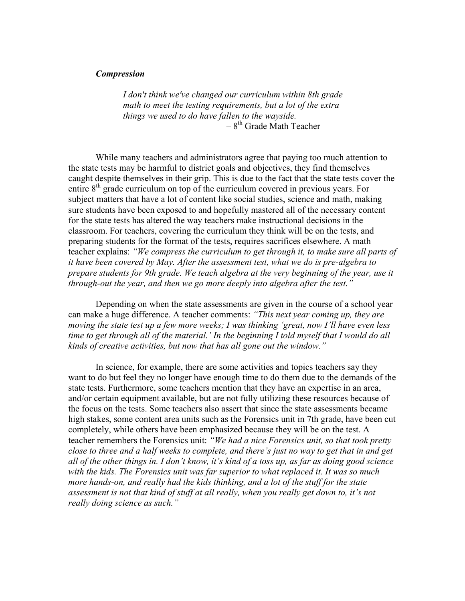#### *Compression*

 *I don't think we've changed our curriculum within 8th grade math to meet the testing requirements, but a lot of the extra things we used to do have fallen to the wayside.*   $-8$ <sup>th</sup> Grade Math Teacher

 While many teachers and administrators agree that paying too much attention to the state tests may be harmful to district goals and objectives, they find themselves caught despite themselves in their grip. This is due to the fact that the state tests cover the entire 8<sup>th</sup> grade curriculum on top of the curriculum covered in previous years. For subject matters that have a lot of content like social studies, science and math, making sure students have been exposed to and hopefully mastered all of the necessary content for the state tests has altered the way teachers make instructional decisions in the classroom. For teachers, covering the curriculum they think will be on the tests, and preparing students for the format of the tests, requires sacrifices elsewhere. A math teacher explains: *"We compress the curriculum to get through it, to make sure all parts of it have been covered by May. After the assessment test, what we do is pre-algebra to prepare students for 9th grade. We teach algebra at the very beginning of the year, use it through-out the year, and then we go more deeply into algebra after the test."* 

Depending on when the state assessments are given in the course of a school year can make a huge difference. A teacher comments: *"This next year coming up, they are moving the state test up a few more weeks; I was thinking 'great, now I'll have even less time to get through all of the material.' In the beginning I told myself that I would do all kinds of creative activities, but now that has all gone out the window."* 

 In science, for example, there are some activities and topics teachers say they want to do but feel they no longer have enough time to do them due to the demands of the state tests. Furthermore, some teachers mention that they have an expertise in an area, and/or certain equipment available, but are not fully utilizing these resources because of the focus on the tests. Some teachers also assert that since the state assessments became high stakes, some content area units such as the Forensics unit in 7th grade, have been cut completely, while others have been emphasized because they will be on the test. A teacher remembers the Forensics unit: *"We had a nice Forensics unit, so that took pretty close to three and a half weeks to complete, and there's just no way to get that in and get all of the other things in. I don't know, it's kind of a toss up, as far as doing good science with the kids. The Forensics unit was far superior to what replaced it. It was so much more hands-on, and really had the kids thinking, and a lot of the stuff for the state*  assessment is not that kind of stuff at all really, when you really get down to, it's not *really doing science as such."*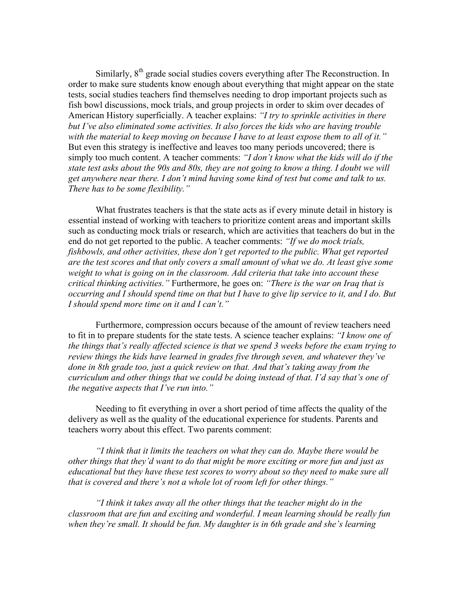Similarly,  $8<sup>th</sup>$  grade social studies covers everything after The Reconstruction. In order to make sure students know enough about everything that might appear on the state tests, social studies teachers find themselves needing to drop important projects such as fish bowl discussions, mock trials, and group projects in order to skim over decades of American History superficially. A teacher explains: *"I try to sprinkle activities in there but I've also eliminated some activities. It also forces the kids who are having trouble with the material to keep moving on because I have to at least expose them to all of it."* But even this strategy is ineffective and leaves too many periods uncovered; there is simply too much content. A teacher comments: *"I don't know what the kids will do if the state test asks about the 90s and 80s, they are not going to know a thing. I doubt we will get anywhere near there. I don't mind having some kind of test but come and talk to us. There has to be some flexibility."*

 What frustrates teachers is that the state acts as if every minute detail in history is essential instead of working with teachers to prioritize content areas and important skills such as conducting mock trials or research, which are activities that teachers do but in the end do not get reported to the public. A teacher comments: *"If we do mock trials, fishbowls, and other activities, these don't get reported to the public. What get reported are the test scores and that only covers a small amount of what we do. At least give some weight to what is going on in the classroom. Add criteria that take into account these critical thinking activities."* Furthermore, he goes on: *"There is the war on Iraq that is occurring and I should spend time on that but I have to give lip service to it, and I do. But I should spend more time on it and I can't."* 

 Furthermore, compression occurs because of the amount of review teachers need to fit in to prepare students for the state tests. A science teacher explains: *"I know one of the things that's really affected science is that we spend 3 weeks before the exam trying to review things the kids have learned in grades five through seven, and whatever they've done in 8th grade too, just a quick review on that. And that's taking away from the curriculum and other things that we could be doing instead of that. I'd say that's one of the negative aspects that I've run into."* 

 Needing to fit everything in over a short period of time affects the quality of the delivery as well as the quality of the educational experience for students. Parents and teachers worry about this effect. Two parents comment:

*"I think that it limits the teachers on what they can do. Maybe there would be other things that they'd want to do that might be more exciting or more fun and just as educational but they have these test scores to worry about so they need to make sure all that is covered and there's not a whole lot of room left for other things."* 

*"I think it takes away all the other things that the teacher might do in the classroom that are fun and exciting and wonderful. I mean learning should be really fun when they're small. It should be fun. My daughter is in 6th grade and she's learning*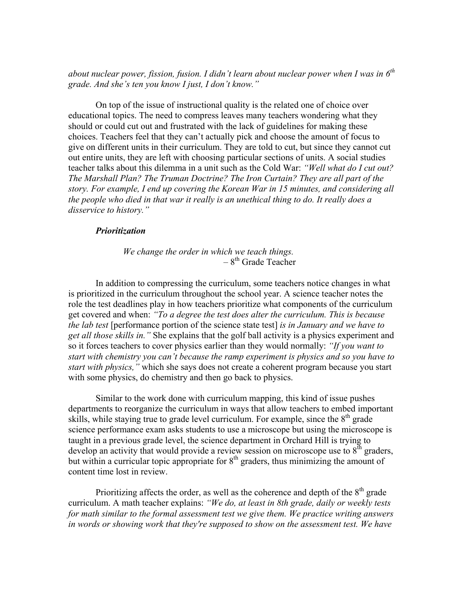*about nuclear power, fission, fusion. I didn't learn about nuclear power when I was in 6th grade. And she's ten you know I just, I don't know."* 

 On top of the issue of instructional quality is the related one of choice over educational topics. The need to compress leaves many teachers wondering what they should or could cut out and frustrated with the lack of guidelines for making these choices. Teachers feel that they can't actually pick and choose the amount of focus to give on different units in their curriculum. They are told to cut, but since they cannot cut out entire units, they are left with choosing particular sections of units. A social studies teacher talks about this dilemma in a unit such as the Cold War: *"Well what do I cut out? The Marshall Plan? The Truman Doctrine? The Iron Curtain? They are all part of the story. For example, I end up covering the Korean War in 15 minutes, and considering all the people who died in that war it really is an unethical thing to do. It really does a disservice to history."*

#### *Prioritization*

*We change the order in which we teach things.*   $-8$ <sup>th</sup> Grade Teacher

 In addition to compressing the curriculum, some teachers notice changes in what is prioritized in the curriculum throughout the school year. A science teacher notes the role the test deadlines play in how teachers prioritize what components of the curriculum get covered and when: *"To a degree the test does alter the curriculum. This is because the lab test* [performance portion of the science state test] *is in January and we have to get all those skills in."* She explains that the golf ball activity is a physics experiment and so it forces teachers to cover physics earlier than they would normally: *"If you want to start with chemistry you can't because the ramp experiment is physics and so you have to start with physics,"* which she says does not create a coherent program because you start with some physics, do chemistry and then go back to physics.

 Similar to the work done with curriculum mapping, this kind of issue pushes departments to reorganize the curriculum in ways that allow teachers to embed important skills, while staying true to grade level curriculum. For example, since the  $8<sup>th</sup>$  grade science performance exam asks students to use a microscope but using the microscope is taught in a previous grade level, the science department in Orchard Hill is trying to develop an activity that would provide a review session on microscope use to  $8<sup>th</sup>$  graders, but within a curricular topic appropriate for  $8<sup>th</sup>$  graders, thus minimizing the amount of content time lost in review.

Prioritizing affects the order, as well as the coherence and depth of the  $8<sup>th</sup>$  grade curriculum. A math teacher explains: *"We do, at least in 8th grade, daily or weekly tests for math similar to the formal assessment test we give them. We practice writing answers in words or showing work that they're supposed to show on the assessment test. We have*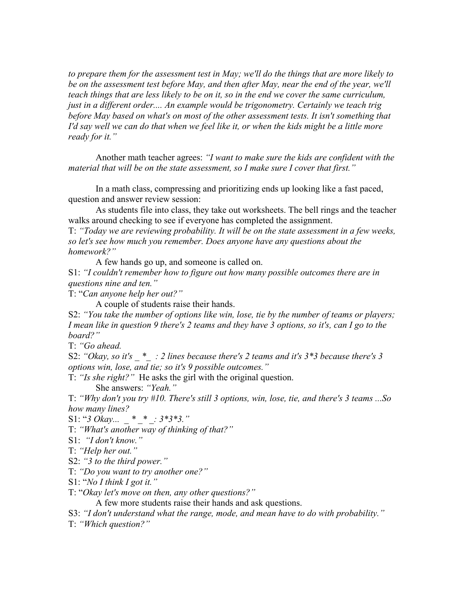*to prepare them for the assessment test in May; we'll do the things that are more likely to be on the assessment test before May, and then after May, near the end of the year, we'll teach things that are less likely to be on it, so in the end we cover the same curriculum, just in a different order.... An example would be trigonometry. Certainly we teach trig before May based on what's on most of the other assessment tests. It isn't something that I'd say well we can do that when we feel like it, or when the kids might be a little more ready for it."*

 Another math teacher agrees: *"I want to make sure the kids are confident with the material that will be on the state assessment, so I make sure I cover that first."* 

In a math class, compressing and prioritizing ends up looking like a fast paced, question and answer review session:

 As students file into class, they take out worksheets. The bell rings and the teacher walks around checking to see if everyone has completed the assignment.

T: *"Today we are reviewing probability. It will be on the state assessment in a few weeks, so let's see how much you remember. Does anyone have any questions about the homework?"*

A few hands go up, and someone is called on.

S1: *"I couldn't remember how to figure out how many possible outcomes there are in questions nine and ten."* 

T: "*Can anyone help her out?"*

A couple of students raise their hands.

S2: *"You take the number of options like win, lose, tie by the number of teams or players; I mean like in question 9 there's 2 teams and they have 3 options, so it's, can I go to the board?"* 

T: *"Go ahead.* 

S2: "Okay, so it's \* : 2 lines because there's 2 teams and it's 3<sup>\*3</sup> because there's 3 *options win, lose, and tie; so it's 9 possible outcomes."*

T: *"Is she right?"* He asks the girl with the original question.

She answers: *"Yeah."*

T: *"Why don't you try #10. There's still 3 options, win, lose, tie, and there's 3 teams ...So how many lines?*

S1: "3 Okay... \* \* : 3\*3\*3."

T: *"What's another way of thinking of that?"*

S1: *"I don't know."* 

T: *"Help her out."*

S2: *"3 to the third power."* 

T: *"Do you want to try another one?"*

S1: "*No I think I got it."*

T: "*Okay let's move on then, any other questions?"*

A few more students raise their hands and ask questions.

S3: *"I don't understand what the range, mode, and mean have to do with probability."* 

T: *"Which question?"*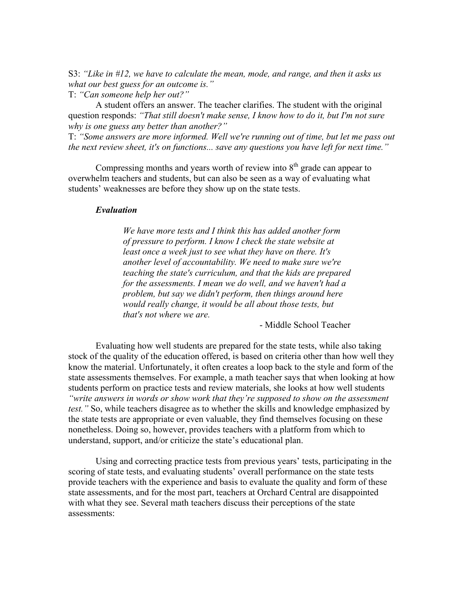S3: *"Like in #12, we have to calculate the mean, mode, and range, and then it asks us what our best guess for an outcome is."* 

T: *"Can someone help her out?"* 

 A student offers an answer. The teacher clarifies. The student with the original question responds: *"That still doesn't make sense, I know how to do it, but I'm not sure why is one guess any better than another?"*

T: *"Some answers are more informed. Well we're running out of time, but let me pass out the next review sheet, it's on functions... save any questions you have left for next time."* 

Compressing months and years worth of review into  $8<sup>th</sup>$  grade can appear to overwhelm teachers and students, but can also be seen as a way of evaluating what students' weaknesses are before they show up on the state tests.

#### *Evaluation*

 *We have more tests and I think this has added another form of pressure to perform. I know I check the state website at least once a week just to see what they have on there. It's another level of accountability. We need to make sure we're teaching the state's curriculum, and that the kids are prepared for the assessments. I mean we do well, and we haven't had a problem, but say we didn't perform, then things around here would really change, it would be all about those tests, but that's not where we are.* 

- Middle School Teacher

 Evaluating how well students are prepared for the state tests, while also taking stock of the quality of the education offered, is based on criteria other than how well they know the material. Unfortunately, it often creates a loop back to the style and form of the state assessments themselves. For example, a math teacher says that when looking at how students perform on practice tests and review materials, she looks at how well students *"write answers in words or show work that they're supposed to show on the assessment test."* So, while teachers disagree as to whether the skills and knowledge emphasized by the state tests are appropriate or even valuable, they find themselves focusing on these nonetheless. Doing so, however, provides teachers with a platform from which to understand, support, and/or criticize the state's educational plan.

 Using and correcting practice tests from previous years' tests, participating in the scoring of state tests, and evaluating students' overall performance on the state tests provide teachers with the experience and basis to evaluate the quality and form of these state assessments, and for the most part, teachers at Orchard Central are disappointed with what they see. Several math teachers discuss their perceptions of the state assessments: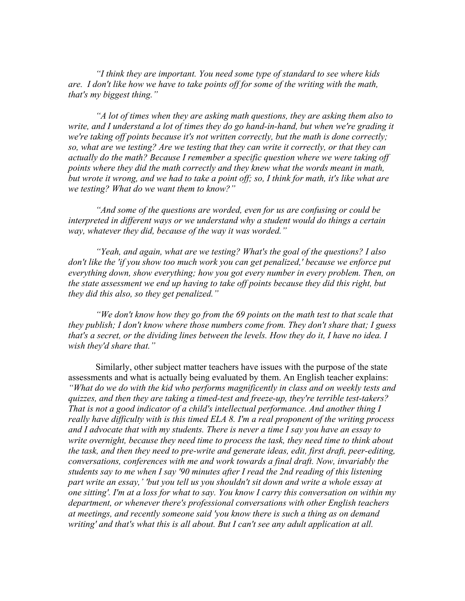*"I think they are important. You need some type of standard to see where kids are. I don't like how we have to take points off for some of the writing with the math, that's my biggest thing."* 

*"A lot of times when they are asking math questions, they are asking them also to write, and I understand a lot of times they do go hand-in-hand, but when we're grading it we're taking off points because it's not written correctly, but the math is done correctly; so, what are we testing? Are we testing that they can write it correctly, or that they can actually do the math? Because I remember a specific question where we were taking off points where they did the math correctly and they knew what the words meant in math, but wrote it wrong, and we had to take a point off; so, I think for math, it's like what are we testing? What do we want them to know?"* 

 *"And some of the questions are worded, even for us are confusing or could be interpreted in different ways or we understand why a student would do things a certain way, whatever they did, because of the way it was worded."* 

 *"Yeah, and again, what are we testing? What's the goal of the questions? I also don't like the 'if you show too much work you can get penalized,' because we enforce put everything down, show everything; how you got every number in every problem. Then, on the state assessment we end up having to take off points because they did this right, but they did this also, so they get penalized."* 

*"We don't know how they go from the 69 points on the math test to that scale that they publish; I don't know where those numbers come from. They don't share that; I guess that's a secret, or the dividing lines between the levels. How they do it, I have no idea. I wish they'd share that."* 

 Similarly, other subject matter teachers have issues with the purpose of the state assessments and what is actually being evaluated by them. An English teacher explains: *"What do we do with the kid who performs magnificently in class and on weekly tests and quizzes, and then they are taking a timed-test and freeze-up, they're terrible test-takers? That is not a good indicator of a child's intellectual performance. And another thing I really have difficulty with is this timed ELA 8. I'm a real proponent of the writing process and I advocate that with my students. There is never a time I say you have an essay to write overnight, because they need time to process the task, they need time to think about the task, and then they need to pre-write and generate ideas, edit, first draft, peer-editing, conversations, conferences with me and work towards a final draft. Now, invariably the students say to me when I say '90 minutes after I read the 2nd reading of this listening part write an essay,' 'but you tell us you shouldn't sit down and write a whole essay at one sitting'. I'm at a loss for what to say. You know I carry this conversation on within my department, or whenever there's professional conversations with other English teachers at meetings, and recently someone said 'you know there is such a thing as on demand writing' and that's what this is all about. But I can't see any adult application at all.*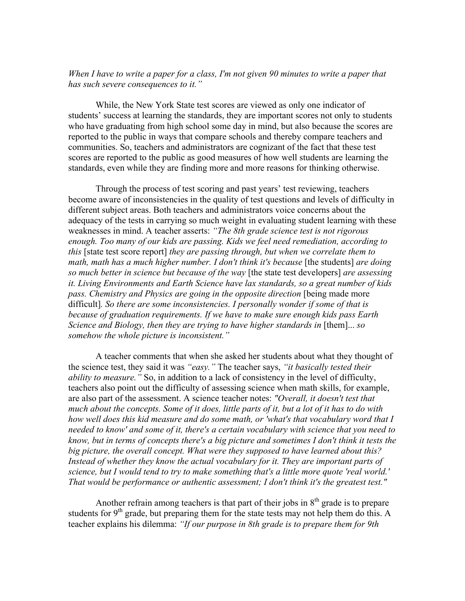#### *When I have to write a paper for a class, I'm not given 90 minutes to write a paper that has such severe consequences to it."*

While, the New York State test scores are viewed as only one indicator of students' success at learning the standards, they are important scores not only to students who have graduating from high school some day in mind, but also because the scores are reported to the public in ways that compare schools and thereby compare teachers and communities. So, teachers and administrators are cognizant of the fact that these test scores are reported to the public as good measures of how well students are learning the standards, even while they are finding more and more reasons for thinking otherwise.

 Through the process of test scoring and past years' test reviewing, teachers become aware of inconsistencies in the quality of test questions and levels of difficulty in different subject areas. Both teachers and administrators voice concerns about the adequacy of the tests in carrying so much weight in evaluating student learning with these weaknesses in mind. A teacher asserts: *"The 8th grade science test is not rigorous enough. Too many of our kids are passing. Kids we feel need remediation, according to this* [state test score report] *they are passing through, but when we correlate them to math, math has a much higher number. I don't think it's because* [the students] *are doing so much better in science but because of the way* [the state test developers] *are assessing it. Living Environments and Earth Science have lax standards, so a great number of kids*  pass. Chemistry and Physics are going in the opposite direction [being made more difficult]*. So there are some inconsistencies. I personally wonder if some of that is because of graduation requirements. If we have to make sure enough kids pass Earth Science and Biology, then they are trying to have higher standards in* [them]...*so somehow the whole picture is inconsistent."*

 A teacher comments that when she asked her students about what they thought of the science test, they said it was *"easy."* The teacher says, *"it basically tested their ability to measure."* So, in addition to a lack of consistency in the level of difficulty, teachers also point out the difficulty of assessing science when math skills, for example, are also part of the assessment. A science teacher notes: *"Overall, it doesn't test that much about the concepts. Some of it does, little parts of it, but a lot of it has to do with how well does this kid measure and do some math, or 'what's that vocabulary word that I needed to know' and some of it, there's a certain vocabulary with science that you need to know, but in terms of concepts there's a big picture and sometimes I don't think it tests the big picture, the overall concept. What were they supposed to have learned about this?*  Instead of whether they know the actual vocabulary for it. They are important parts of *science, but I would tend to try to make something that's a little more quote 'real world.' That would be performance or authentic assessment; I don't think it's the greatest test."* 

Another refrain among teachers is that part of their jobs in  $8<sup>th</sup>$  grade is to prepare students for  $9<sup>th</sup>$  grade, but preparing them for the state tests may not help them do this. A teacher explains his dilemma: *"If our purpose in 8th grade is to prepare them for 9th*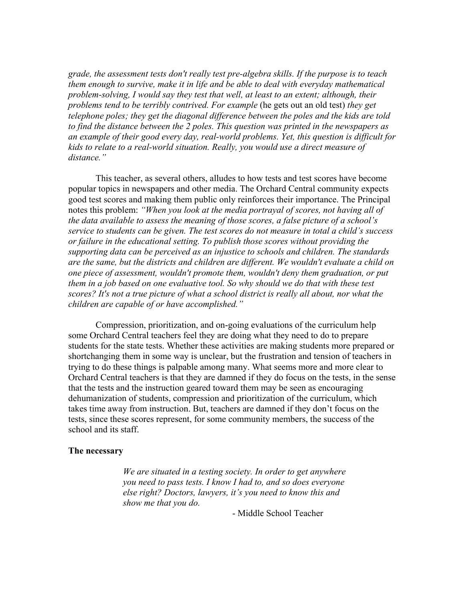*grade, the assessment tests don't really test pre-algebra skills. If the purpose is to teach them enough to survive, make it in life and be able to deal with everyday mathematical problem-solving, I would say they test that well, at least to an extent; although, their problems tend to be terribly contrived. For example* (he gets out an old test) *they get telephone poles; they get the diagonal difference between the poles and the kids are told to find the distance between the 2 poles. This question was printed in the newspapers as an example of their good every day, real-world problems. Yet, this question is difficult for kids to relate to a real-world situation. Really, you would use a direct measure of distance."* 

This teacher, as several others, alludes to how tests and test scores have become popular topics in newspapers and other media. The Orchard Central community expects good test scores and making them public only reinforces their importance. The Principal notes this problem: *"When you look at the media portrayal of scores, not having all of the data available to assess the meaning of those scores, a false picture of a school's service to students can be given. The test scores do not measure in total a child's success or failure in the educational setting. To publish those scores without providing the supporting data can be perceived as an injustice to schools and children. The standards are the same, but the districts and children are different. We wouldn't evaluate a child on one piece of assessment, wouldn't promote them, wouldn't deny them graduation, or put them in a job based on one evaluative tool. So why should we do that with these test scores? It's not a true picture of what a school district is really all about, nor what the children are capable of or have accomplished."*

Compression, prioritization, and on-going evaluations of the curriculum help some Orchard Central teachers feel they are doing what they need to do to prepare students for the state tests. Whether these activities are making students more prepared or shortchanging them in some way is unclear, but the frustration and tension of teachers in trying to do these things is palpable among many. What seems more and more clear to Orchard Central teachers is that they are damned if they do focus on the tests, in the sense that the tests and the instruction geared toward them may be seen as encouraging dehumanization of students, compression and prioritization of the curriculum, which takes time away from instruction. But, teachers are damned if they don't focus on the tests, since these scores represent, for some community members, the success of the school and its staff.

#### **The necessary**

 *We are situated in a testing society. In order to get anywhere you need to pass tests. I know I had to, and so does everyone else right? Doctors, lawyers, it's you need to know this and show me that you do.* 

- Middle School Teacher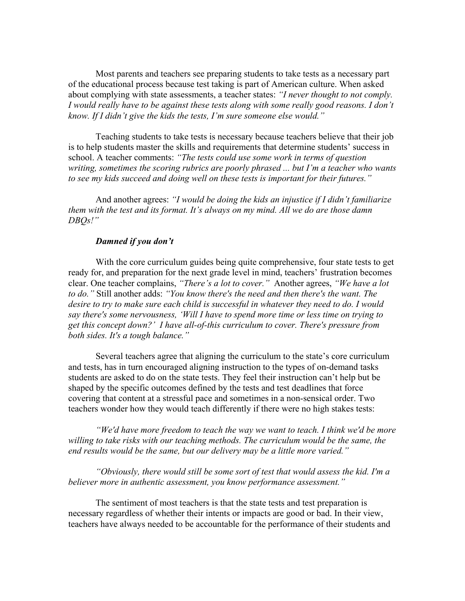Most parents and teachers see preparing students to take tests as a necessary part of the educational process because test taking is part of American culture. When asked about complying with state assessments, a teacher states: *"I never thought to not comply. I would really have to be against these tests along with some really good reasons. I don't know. If I didn't give the kids the tests, I'm sure someone else would."* 

 Teaching students to take tests is necessary because teachers believe that their job is to help students master the skills and requirements that determine students' success in school. A teacher comments: *"The tests could use some work in terms of question writing, sometimes the scoring rubrics are poorly phrased ... but I'm a teacher who wants to see my kids succeed and doing well on these tests is important for their futures."* 

And another agrees: *"I would be doing the kids an injustice if I didn't familiarize them with the test and its format. It's always on my mind. All we do are those damn DBQs!"* 

#### *Damned if you don't*

 With the core curriculum guides being quite comprehensive, four state tests to get ready for, and preparation for the next grade level in mind, teachers' frustration becomes clear. One teacher complains, *"There's a lot to cover."* Another agrees, *"We have a lot to do."* Still another adds: *"You know there's the need and then there's the want. The desire to try to make sure each child is successful in whatever they need to do. I would say there's some nervousness, 'Will I have to spend more time or less time on trying to get this concept down?' I have all-of-this curriculum to cover. There's pressure from both sides. It's a tough balance."*

 Several teachers agree that aligning the curriculum to the state's core curriculum and tests, has in turn encouraged aligning instruction to the types of on-demand tasks students are asked to do on the state tests. They feel their instruction can't help but be shaped by the specific outcomes defined by the tests and test deadlines that force covering that content at a stressful pace and sometimes in a non-sensical order. Two teachers wonder how they would teach differently if there were no high stakes tests:

*"We'd have more freedom to teach the way we want to teach. I think we'd be more*  willing to take risks with our teaching methods. The curriculum would be the same, the *end results would be the same, but our delivery may be a little more varied."* 

*"Obviously, there would still be some sort of test that would assess the kid. I'm a believer more in authentic assessment, you know performance assessment."* 

The sentiment of most teachers is that the state tests and test preparation is necessary regardless of whether their intents or impacts are good or bad. In their view, teachers have always needed to be accountable for the performance of their students and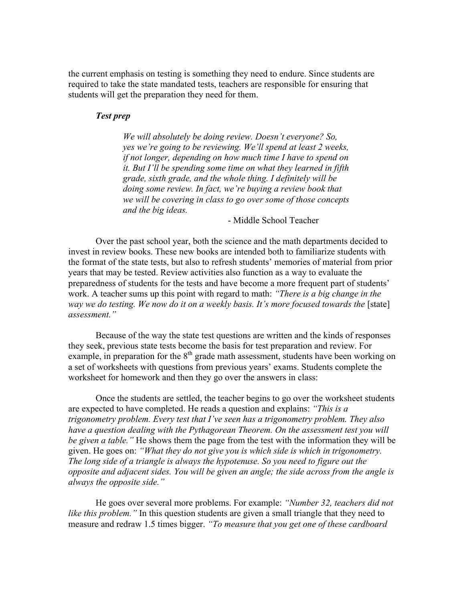the current emphasis on testing is something they need to endure. Since students are required to take the state mandated tests, teachers are responsible for ensuring that students will get the preparation they need for them.

#### *Test prep*

 *We will absolutely be doing review. Doesn't everyone? So, yes we're going to be reviewing. We'll spend at least 2 weeks, if not longer, depending on how much time I have to spend on it. But I'll be spending some time on what they learned in fifth grade, sixth grade, and the whole thing. I definitely will be doing some review. In fact, we're buying a review book that we will be covering in class to go over some of those concepts and the big ideas.* 

- Middle School Teacher

Over the past school year, both the science and the math departments decided to invest in review books. These new books are intended both to familiarize students with the format of the state tests, but also to refresh students' memories of material from prior years that may be tested. Review activities also function as a way to evaluate the preparedness of students for the tests and have become a more frequent part of students' work. A teacher sums up this point with regard to math: *"There is a big change in the way we do testing. We now do it on a weekly basis. It's more focused towards the* [state] *assessment."* 

 Because of the way the state test questions are written and the kinds of responses they seek, previous state tests become the basis for test preparation and review. For example, in preparation for the  $8<sup>th</sup>$  grade math assessment, students have been working on a set of worksheets with questions from previous years' exams. Students complete the worksheet for homework and then they go over the answers in class:

 Once the students are settled, the teacher begins to go over the worksheet students are expected to have completed. He reads a question and explains: *"This is a trigonometry problem. Every test that I've seen has a trigonometry problem. They also have a question dealing with the Pythagorean Theorem. On the assessment test you will be given a table."* He shows them the page from the test with the information they will be given. He goes on: *"What they do not give you is which side is which in trigonometry. The long side of a triangle is always the hypotenuse. So you need to figure out the opposite and adjacent sides. You will be given an angle; the side across from the angle is always the opposite side."* 

 He goes over several more problems. For example: *"Number 32, teachers did not like this problem.*" In this question students are given a small triangle that they need to measure and redraw 1.5 times bigger. *"To measure that you get one of these cardboard*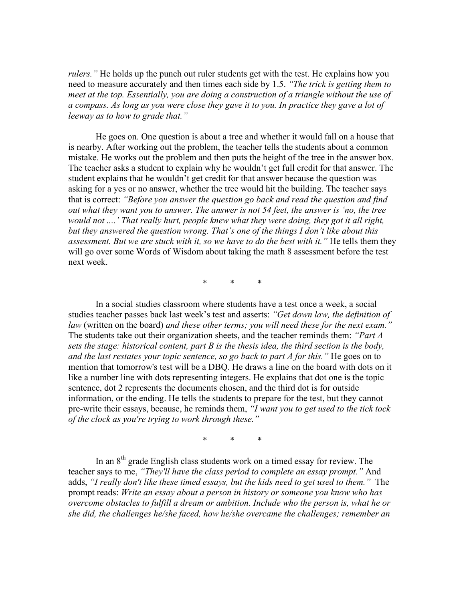*rulers."* He holds up the punch out ruler students get with the test. He explains how you need to measure accurately and then times each side by 1.5. *"The trick is getting them to meet at the top. Essentially, you are doing a construction of a triangle without the use of a compass. As long as you were close they gave it to you. In practice they gave a lot of leeway as to how to grade that."* 

 He goes on. One question is about a tree and whether it would fall on a house that is nearby. After working out the problem, the teacher tells the students about a common mistake. He works out the problem and then puts the height of the tree in the answer box. The teacher asks a student to explain why he wouldn't get full credit for that answer. The student explains that he wouldn't get credit for that answer because the question was asking for a yes or no answer, whether the tree would hit the building. The teacher says that is correct: *"Before you answer the question go back and read the question and find out what they want you to answer. The answer is not 54 feet, the answer is 'no, the tree would not ....' That really hurt, people knew what they were doing, they got it all right, but they answered the question wrong. That's one of the things I don't like about this assessment. But we are stuck with it, so we have to do the best with it."* He tells them they will go over some Words of Wisdom about taking the math 8 assessment before the test next week.

\* \* \*

 In a social studies classroom where students have a test once a week, a social studies teacher passes back last week's test and asserts: *"Get down law, the definition of law* (written on the board) *and these other terms; you will need these for the next exam."*  The students take out their organization sheets, and the teacher reminds them: *"Part A sets the stage: historical content, part B is the thesis idea, the third section is the body, and the last restates your topic sentence, so go back to part A for this."* He goes on to mention that tomorrow's test will be a DBQ. He draws a line on the board with dots on it like a number line with dots representing integers. He explains that dot one is the topic sentence, dot 2 represents the documents chosen, and the third dot is for outside information, or the ending. He tells the students to prepare for the test, but they cannot pre-write their essays, because, he reminds them, *"I want you to get used to the tick tock of the clock as you're trying to work through these."*

\* \* \*

In an  $8<sup>th</sup>$  grade English class students work on a timed essay for review. The teacher says to me, *"They'll have the class period to complete an essay prompt."* And adds, *"I really don't like these timed essays, but the kids need to get used to them."* The prompt reads: *Write an essay about a person in history or someone you know who has overcome obstacles to fulfill a dream or ambition. Include who the person is, what he or she did, the challenges he/she faced, how he/she overcame the challenges; remember an*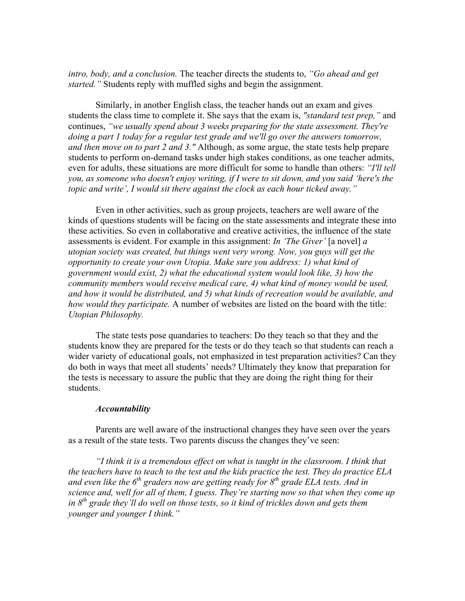*intro, body, and a conclusion.* The teacher directs the students to, *"Go ahead and get started."* Students reply with muffled sighs and begin the assignment.

 Similarly, in another English class, the teacher hands out an exam and gives students the class time to complete it. She says that the exam is, *"standard test prep,"* and continues, *"we usually spend about 3 weeks preparing for the state assessment. They're doing a part 1 today for a regular test grade and we'll go over the answers tomorrow, and then move on to part 2 and 3."* Although, as some argue, the state tests help prepare students to perform on-demand tasks under high stakes conditions, as one teacher admits, even for adults, these situations are more difficult for some to handle than others: *"I'll tell you, as someone who doesn't enjoy writing, if I were to sit down, and you said 'here's the topic and write', I would sit there against the clock as each hour ticked away."* 

 Even in other activities, such as group projects, teachers are well aware of the kinds of questions students will be facing on the state assessments and integrate these into these activities. So even in collaborative and creative activities, the influence of the state assessments is evident. For example in this assignment: *In 'The Giver'* [a novel] *a utopian society was created, but things went very wrong. Now, you guys will get the opportunity to create your own Utopia. Make sure you address: 1) what kind of government would exist, 2) what the educational system would look like, 3) how the community members would receive medical care, 4) what kind of money would be used, and how it would be distributed, and 5) what kinds of recreation would be available, and how would they participate.* A number of websites are listed on the board with the title: *Utopian Philosophy.*

The state tests pose quandaries to teachers: Do they teach so that they and the students know they are prepared for the tests or do they teach so that students can reach a wider variety of educational goals, not emphasized in test preparation activities? Can they do both in ways that meet all students' needs? Ultimately they know that preparation for the tests is necessary to assure the public that they are doing the right thing for their students.

#### *Accountability*

 Parents are well aware of the instructional changes they have seen over the years as a result of the state tests. Two parents discuss the changes they've seen:

*"I think it is a tremendous effect on what is taught in the classroom. I think that the teachers have to teach to the test and the kids practice the test. They do practice ELA*  and even like the 6<sup>th</sup> graders now are getting ready for 8<sup>th</sup> grade ELA tests. And in *science and, well for all of them, I guess. They're starting now so that when they come up in 8th grade they'll do well on those tests, so it kind of trickles down and gets them younger and younger I think."*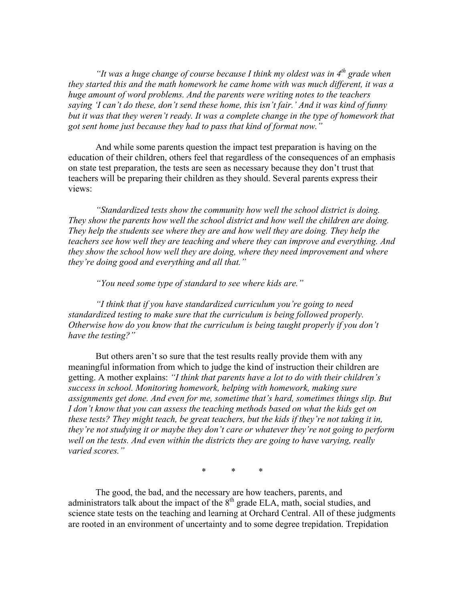*"It was a huge change of course because I think my oldest was in 4<sup>th</sup> grade when they started this and the math homework he came home with was much different, it was a huge amount of word problems. And the parents were writing notes to the teachers saying 'I can't do these, don't send these home, this isn't fair.' And it was kind of funny*  but it was that they weren't ready. It was a complete change in the type of homework that *got sent home just because they had to pass that kind of format now."* 

And while some parents question the impact test preparation is having on the education of their children, others feel that regardless of the consequences of an emphasis on state test preparation, the tests are seen as necessary because they don't trust that teachers will be preparing their children as they should. Several parents express their views:

 *"Standardized tests show the community how well the school district is doing. They show the parents how well the school district and how well the children are doing. They help the students see where they are and how well they are doing. They help the teachers see how well they are teaching and where they can improve and everything. And they show the school how well they are doing, where they need improvement and where they're doing good and everything and all that."* 

 *"You need some type of standard to see where kids are."* 

 *"I think that if you have standardized curriculum you're going to need standardized testing to make sure that the curriculum is being followed properly. Otherwise how do you know that the curriculum is being taught properly if you don't have the testing?"* 

 But others aren't so sure that the test results really provide them with any meaningful information from which to judge the kind of instruction their children are getting. A mother explains: *"I think that parents have a lot to do with their children's success in school. Monitoring homework, helping with homework, making sure assignments get done. And even for me, sometime that's hard, sometimes things slip. But I don't know that you can assess the teaching methods based on what the kids get on these tests? They might teach, be great teachers, but the kids if they're not taking it in, they're not studying it or maybe they don't care or whatever they're not going to perform well on the tests. And even within the districts they are going to have varying, really varied scores."* 

\* \* \*

The good, the bad, and the necessary are how teachers, parents, and administrators talk about the impact of the  $8<sup>th</sup>$  grade ELA, math, social studies, and science state tests on the teaching and learning at Orchard Central. All of these judgments are rooted in an environment of uncertainty and to some degree trepidation. Trepidation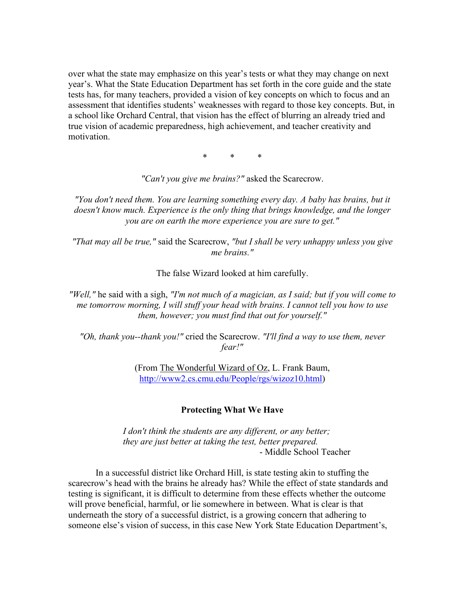over what the state may emphasize on this year's tests or what they may change on next year's. What the State Education Department has set forth in the core guide and the state tests has, for many teachers, provided a vision of key concepts on which to focus and an assessment that identifies students' weaknesses with regard to those key concepts. But, in a school like Orchard Central, that vision has the effect of blurring an already tried and true vision of academic preparedness, high achievement, and teacher creativity and motivation.

\* \* \*

*"Can't you give me brains?"* asked the Scarecrow.

*"You don't need them. You are learning something every day. A baby has brains, but it doesn't know much. Experience is the only thing that brings knowledge, and the longer you are on earth the more experience you are sure to get."* 

*"That may all be true,"* said the Scarecrow, *"but I shall be very unhappy unless you give me brains."* 

The false Wizard looked at him carefully.

*"Well,"* he said with a sigh, *"I'm not much of a magician, as I said; but if you will come to me tomorrow morning, I will stuff your head with brains. I cannot tell you how to use them, however; you must find that out for yourself."* 

*"Oh, thank you--thank you!"* cried the Scarecrow. *"I'll find a way to use them, never fear!"* 

> (From The Wonderful Wizard of Oz, L. Frank Baum, http://www2.cs.cmu.edu/People/rgs/wizoz10.html)

#### **Protecting What We Have**

 *I don't think the students are any different, or any better; they are just better at taking the test, better prepared.* - Middle School Teacher

In a successful district like Orchard Hill, is state testing akin to stuffing the scarecrow's head with the brains he already has? While the effect of state standards and testing is significant, it is difficult to determine from these effects whether the outcome will prove beneficial, harmful, or lie somewhere in between. What is clear is that underneath the story of a successful district, is a growing concern that adhering to someone else's vision of success, in this case New York State Education Department's,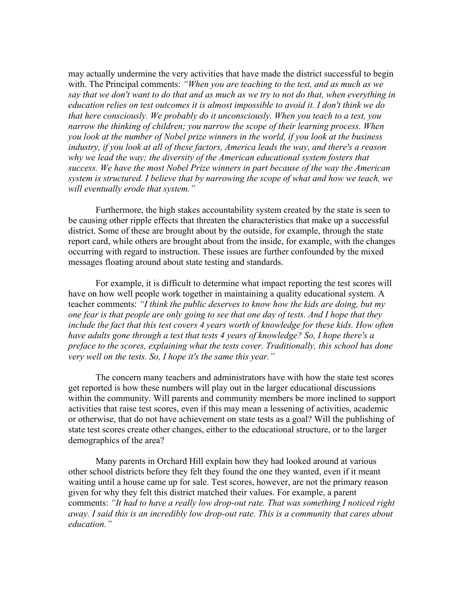may actually undermine the very activities that have made the district successful to begin with. The Principal comments: *"When you are teaching to the test, and as much as we say that we don't want to do that and as much as we try to not do that, when everything in education relies on test outcomes it is almost impossible to avoid it. I don't think we do that here consciously. We probably do it unconsciously. When you teach to a test, you narrow the thinking of children; you narrow the scope of their learning process. When you look at the number of Nobel prize winners in the world, if you look at the business industry, if you look at all of these factors, America leads the way, and there's a reason why we lead the way; the diversity of the American educational system fosters that success. We have the most Nobel Prize winners in part because of the way the American system is structured. I believe that by narrowing the scope of what and how we teach, we will eventually erode that system."* 

 Furthermore, the high stakes accountability system created by the state is seen to be causing other ripple effects that threaten the characteristics that make up a successful district. Some of these are brought about by the outside, for example, through the state report card, while others are brought about from the inside, for example, with the changes occurring with regard to instruction. These issues are further confounded by the mixed messages floating around about state testing and standards.

 For example, it is difficult to determine what impact reporting the test scores will have on how well people work together in maintaining a quality educational system. A teacher comments: *"I think the public deserves to know how the kids are doing, but my one fear is that people are only going to see that one day of tests. And I hope that they include the fact that this test covers 4 years worth of knowledge for these kids. How often have adults gone through a test that tests 4 years of knowledge? So, I hope there's a preface to the scores, explaining what the tests cover. Traditionally, this school has done very well on the tests. So, I hope it's the same this year."*

 The concern many teachers and administrators have with how the state test scores get reported is how these numbers will play out in the larger educational discussions within the community. Will parents and community members be more inclined to support activities that raise test scores, even if this may mean a lessening of activities, academic or otherwise, that do not have achievement on state tests as a goal? Will the publishing of state test scores create other changes, either to the educational structure, or to the larger demographics of the area?

 Many parents in Orchard Hill explain how they had looked around at various other school districts before they felt they found the one they wanted, even if it meant waiting until a house came up for sale. Test scores, however, are not the primary reason given for why they felt this district matched their values. For example, a parent comments: *"It had to have a really low drop-out rate. That was something I noticed right away. I said this is an incredibly low drop-out rate. This is a community that cares about education."*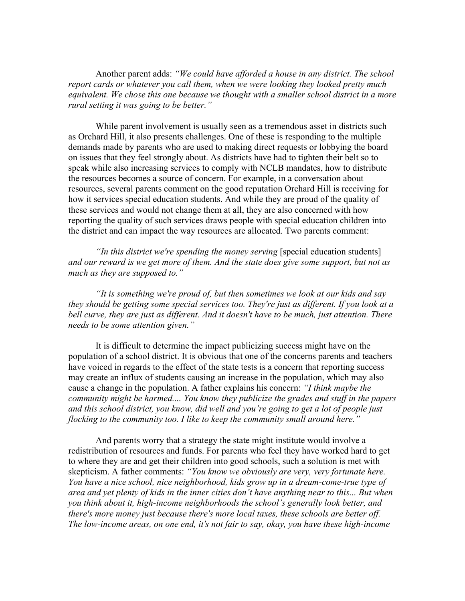Another parent adds: *"We could have afforded a house in any district. The school report cards or whatever you call them, when we were looking they looked pretty much equivalent. We chose this one because we thought with a smaller school district in a more rural setting it was going to be better."* 

 While parent involvement is usually seen as a tremendous asset in districts such as Orchard Hill, it also presents challenges. One of these is responding to the multiple demands made by parents who are used to making direct requests or lobbying the board on issues that they feel strongly about. As districts have had to tighten their belt so to speak while also increasing services to comply with NCLB mandates, how to distribute the resources becomes a source of concern. For example, in a conversation about resources, several parents comment on the good reputation Orchard Hill is receiving for how it services special education students. And while they are proud of the quality of these services and would not change them at all, they are also concerned with how reporting the quality of such services draws people with special education children into the district and can impact the way resources are allocated. Two parents comment:

*"In this district we're spending the money serving* [special education students] *and our reward is we get more of them. And the state does give some support, but not as much as they are supposed to."* 

 *"It is something we're proud of, but then sometimes we look at our kids and say they should be getting some special services too. They're just as different. If you look at a bell curve, they are just as different. And it doesn't have to be much, just attention. There needs to be some attention given."* 

 It is difficult to determine the impact publicizing success might have on the population of a school district. It is obvious that one of the concerns parents and teachers have voiced in regards to the effect of the state tests is a concern that reporting success may create an influx of students causing an increase in the population, which may also cause a change in the population. A father explains his concern: *"I think maybe the community might be harmed.... You know they publicize the grades and stuff in the papers and this school district, you know, did well and you're going to get a lot of people just flocking to the community too. I like to keep the community small around here."* 

 And parents worry that a strategy the state might institute would involve a redistribution of resources and funds. For parents who feel they have worked hard to get to where they are and get their children into good schools, such a solution is met with skepticism. A father comments: *"You know we obviously are very, very fortunate here. You have a nice school, nice neighborhood, kids grow up in a dream-come-true type of area and yet plenty of kids in the inner cities don't have anything near to this... But when you think about it, high-income neighborhoods the school's generally look better, and there's more money just because there's more local taxes, these schools are better off. The low-income areas, on one end, it's not fair to say, okay, you have these high-income*